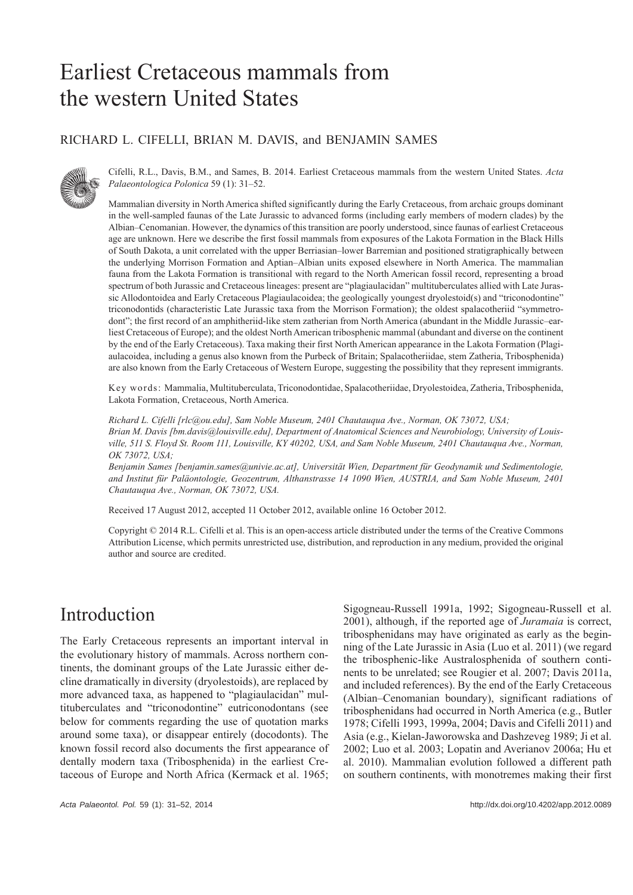# Earliest Cretaceous mammals from the western United States

### RICHARD L. CIFELLI, BRIAN M. DAVIS, and BENJAMIN SAMES



Cifelli, R.L., Davis, B.M., and Sames, B. 2014. Earliest Cretaceous mammals from the western United States. *Acta Palaeontologica Polonica* 59 (1): 31–52.

Mammalian diversity in North America shifted significantly during the Early Cretaceous, from archaic groups dominant in the well-sampled faunas of the Late Jurassic to advanced forms (including early members of modern clades) by the Albian–Cenomanian. However, the dynamics of this transition are poorly understood, since faunas of earliest Cretaceous age are unknown. Here we describe the first fossil mammals from exposures of the Lakota Formation in the Black Hills of South Dakota, a unit correlated with the upper Berriasian–lower Barremian and positioned stratigraphically between the underlying Morrison Formation and Aptian–Albian units exposed elsewhere in North America. The mammalian fauna from the Lakota Formation is transitional with regard to the North American fossil record, representing a broad spectrum of both Jurassic and Cretaceous lineages: present are "plagiaulacidan" multituberculates allied with Late Jurassic Allodontoidea and Early Cretaceous Plagiaulacoidea; the geologically youngest dryolestoid(s) and "triconodontine" triconodontids (characteristic Late Jurassic taxa from the Morrison Formation); the oldest spalacotheriid "symmetrodont"; the first record of an amphitheriid-like stem zatherian from North America (abundant in the Middle Jurassic–earliest Cretaceous of Europe); and the oldest North American tribosphenic mammal (abundant and diverse on the continent by the end of the Early Cretaceous). Taxa making their first North American appearance in the Lakota Formation (Plagiaulacoidea, including a genus also known from the Purbeck of Britain; Spalacotheriidae, stem Zatheria, Tribosphenida) are also known from the Early Cretaceous of Western Europe, suggesting the possibility that they represent immigrants.

Key words: Mammalia, Multituberculata, Triconodontidae, Spalacotheriidae, Dryolestoidea, Zatheria, Tribosphenida, Lakota Formation, Cretaceous, North America.

*Richard L. Cifelli [rlc@ou.edu], Sam Noble Museum, 2401 Chautauqua Ave., Norman, OK 73072, USA; Brian M. Davis [bm.davis@louisville.edu], Department of Anatomical Sciences and Neurobiology, University of Louisville, 511 S. Floyd St. Room 111, Louisville, KY 40202, USA, and Sam Noble Museum, 2401 Chautauqua Ave., Norman, OK 73072, USA;*

*Benjamin Sames [benjamin.sames@univie.ac.at], Universität Wien, Department für Geodynamik und Sedimentologie, and Institut für Paläontologie, Geozentrum, Althanstrasse 14 1090 Wien, AUSTRIA, and Sam Noble Museum, 2401 Chautauqua Ave., Norman, OK 73072, USA.*

Received 17 August 2012, accepted 11 October 2012, available online 16 October 2012.

Copyright © 2014 R.L. Cifelli et al. This is an open-access article distributed under the terms of the Creative Commons Attribution License, which permits unrestricted use, distribution, and reproduction in any medium, provided the original author and source are credited.

# Introduction

The Early Cretaceous represents an important interval in the evolutionary history of mammals. Across northern continents, the dominant groups of the Late Jurassic either decline dramatically in diversity (dryolestoids), are replaced by more advanced taxa, as happened to "plagiaulacidan" multituberculates and "triconodontine" eutriconodontans (see below for comments regarding the use of quotation marks around some taxa), or disappear entirely (docodonts). The known fossil record also documents the first appearance of dentally modern taxa (Tribosphenida) in the earliest Cretaceous of Europe and North Africa (Kermack et al. 1965; Sigogneau-Russell 1991a, 1992; Sigogneau-Russell et al. 2001), although, if the reported age of *Juramaia* is correct, tribosphenidans may have originated as early as the beginning of the Late Jurassic in Asia (Luo et al. 2011) (we regard the tribosphenic-like Australosphenida of southern continents to be unrelated; see Rougier et al. 2007; Davis 2011a, and included references). By the end of the Early Cretaceous (Albian–Cenomanian boundary), significant radiations of tribosphenidans had occurred in North America (e.g., Butler 1978; Cifelli 1993, 1999a, 2004; Davis and Cifelli 2011) and Asia (e.g., Kielan-Jaworowska and Dashzeveg 1989; Ji et al. 2002; Luo et al. 2003; Lopatin and Averianov 2006a; Hu et al. 2010). Mammalian evolution followed a different path on southern continents, with monotremes making their first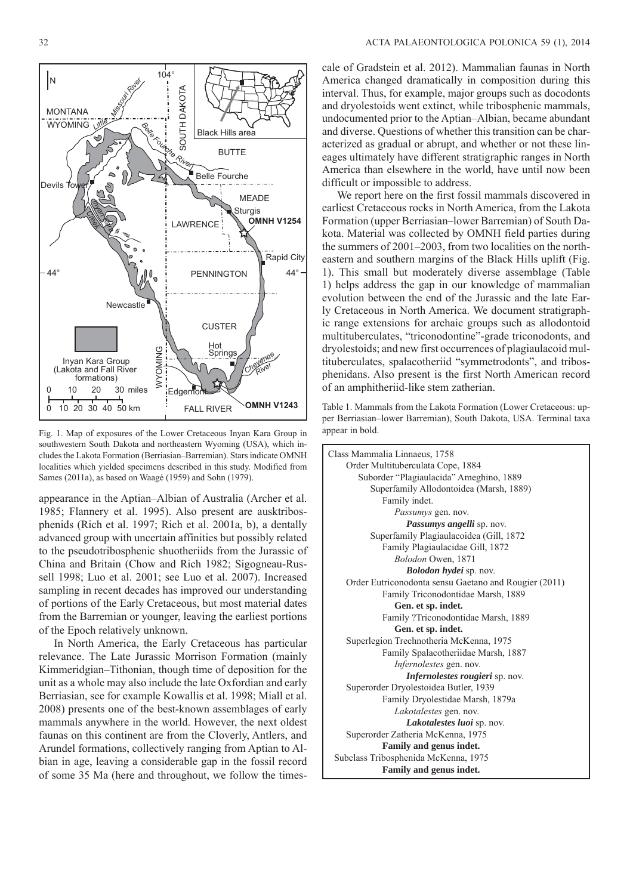

Fig. 1. Map of exposures of the Lower Cretaceous Inyan Kara Group in southwestern South Dakota and northeastern Wyoming (USA), which includes the Lakota Formation (Berriasian–Barremian). Stars indicate OMNH localities which yielded specimens described in this study. Modified from Sames (2011a), as based on Waagé (1959) and Sohn (1979).

appearance in the Aptian–Albian of Australia (Archer et al. 1985; Flannery et al. 1995). Also present are ausktribosphenids (Rich et al. 1997; Rich et al. 2001a, b), a dentally advanced group with uncertain affinities but possibly related to the pseudotribosphenic shuotheriids from the Jurassic of China and Britain (Chow and Rich 1982; Sigogneau-Russell 1998; Luo et al. 2001; see Luo et al. 2007). Increased sampling in recent decades has improved our understanding of portions of the Early Cretaceous, but most material dates from the Barremian or younger, leaving the earliest portions of the Epoch relatively unknown.

In North America, the Early Cretaceous has particular relevance. The Late Jurassic Morrison Formation (mainly Kimmeridgian–Tithonian, though time of deposition for the unit as a whole may also include the late Oxfordian and early Berriasian, see for example Kowallis et al. 1998; Miall et al. 2008) presents one of the best-known assemblages of early mammals anywhere in the world. However, the next oldest faunas on this continent are from the Cloverly, Antlers, and Arundel formations, collectively ranging from Aptian to Albian in age, leaving a considerable gap in the fossil record of some 35 Ma (here and throughout, we follow the times-

cale of Gradstein et al. 2012). Mammalian faunas in North America changed dramatically in composition during this interval. Thus, for example, major groups such as docodonts and dryolestoids went extinct, while tribosphenic mammals, undocumented prior to the Aptian–Albian, became abundant and diverse. Questions of whether this transition can be characterized as gradual or abrupt, and whether or not these lineages ultimately have different stratigraphic ranges in North America than elsewhere in the world, have until now been difficult or impossible to address.

We report here on the first fossil mammals discovered in earliest Cretaceous rocks in North America, from the Lakota Formation (upper Berriasian–lower Barremian) of South Dakota. Material was collected by OMNH field parties during the summers of 2001–2003, from two localities on the northeastern and southern margins of the Black Hills uplift (Fig. 1). This small but moderately diverse assemblage (Table 1) helps address the gap in our knowledge of mammalian evolution between the end of the Jurassic and the late Early Cretaceous in North America. We document stratigraphic range extensions for archaic groups such as allodontoid multituberculates, "triconodontine"-grade triconodonts, and dryolestoids; and new first occurrences of plagiaulacoid multituberculates, spalacotheriid "symmetrodonts", and tribosphenidans. Also present is the first North American record of an amphitheriid-like stem zatherian.

Table 1. Mammals from the Lakota Formation (Lower Cretaceous: upper Berriasian–lower Barremian), South Dakota, USA. Terminal taxa appear in bold.

Class Mammalia Linnaeus, 1758 Order Multituberculata Cope, 1884 Suborder "Plagiaulacida" Ameghino, 1889 Superfamily Allodontoidea (Marsh, 1889) Family indet. *Passumys* gen. nov. *Passumys angelli* sp. nov. Superfamily Plagiaulacoidea (Gill, 1872 Family Plagiaulacidae Gill, 1872 *Bolodon* Owen, 1871 *Bolodon hydei* sp. nov. Order Eutriconodonta sensu Gaetano and Rougier (2011) Family Triconodontidae Marsh, 1889 **Gen. et sp. indet.** Family ?Triconodontidae Marsh, 1889 **Gen. et sp. indet.** Superlegion Trechnotheria McKenna, 1975 Family Spalacotheriidae Marsh, 1887 *Infernolestes* gen. nov. *Infernolestes rougieri* sp. nov. Superorder Dryolestoidea Butler, 1939 Family Dryolestidae Marsh, 1879a *Lakotalestes* gen. nov. *Lakotalestes luoi* sp. nov. Superorder Zatheria McKenna, 1975 **Family and genus indet.** Subclass Tribosphenida McKenna, 1975 **Family and genus indet.**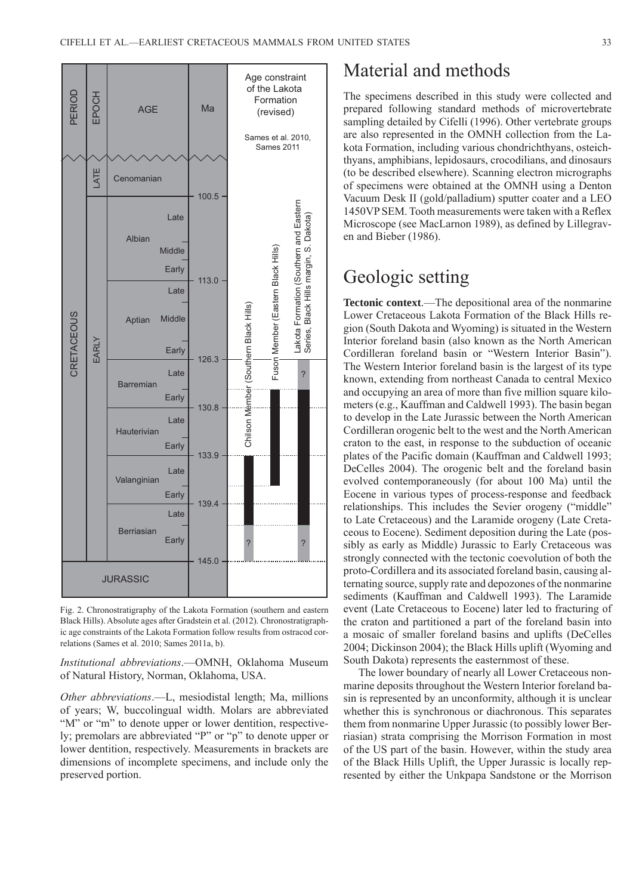

Fig. 2. Chronostratigraphy of the Lakota Formation (southern and eastern Black Hills). Absolute ages after Gradstein et al. (2012). Chronostratigraphic age constraints of the Lakota Formation follow results from ostracod correlations (Sames et al. 2010; Sames 2011a, b).

*Institutional abbreviations*.—OMNH, Oklahoma Museum of Natural History, Norman, Oklahoma, USA.

*Other abbreviations*.—L, mesiodistal length; Ma, millions of years; W, buccolingual width. Molars are abbreviated "M" or "m" to denote upper or lower dentition, respectively; premolars are abbreviated "P" or "p" to denote upper or lower dentition, respectively. Measurements in brackets are dimensions of incomplete specimens, and include only the preserved portion.

# Material and methods

The specimens described in this study were collected and prepared following standard methods of microvertebrate sampling detailed by Cifelli (1996). Other vertebrate groups are also represented in the OMNH collection from the Lakota Formation, including various chondrichthyans, osteichthyans, amphibians, lepidosaurs, crocodilians, and dinosaurs (to be described elsewhere). Scanning electron micrographs of specimens were obtained at the OMNH using a Denton Vacuum Desk II (gold/palladium) sputter coater and a LEO 1450VP SEM. Tooth measurements were taken with a Reflex Microscope (see MacLarnon 1989), as defined by Lillegraven and Bieber (1986).

# Geologic setting

**Tectonic context**.—The depositional area of the nonmarine Lower Cretaceous Lakota Formation of the Black Hills region (South Dakota and Wyoming) is situated in the Western Interior foreland basin (also known as the North American Cordilleran foreland basin or "Western Interior Basin"). The Western Interior foreland basin is the largest of its type known, extending from northeast Canada to central Mexico and occupying an area of more than five million square kilometers (e.g., Kauffman and Caldwell 1993). The basin began to develop in the Late Jurassic between the North American Cordilleran orogenic belt to the west and the North American craton to the east, in response to the subduction of oceanic plates of the Pacific domain (Kauffman and Caldwell 1993; DeCelles 2004). The orogenic belt and the foreland basin evolved contemporaneously (for about 100 Ma) until the Eocene in various types of process-response and feedback relationships. This includes the Sevier orogeny ("middle" to Late Cretaceous) and the Laramide orogeny (Late Cretaceous to Eocene). Sediment deposition during the Late (possibly as early as Middle) Jurassic to Early Cretaceous was strongly connected with the tectonic coevolution of both the proto-Cordillera and its associated foreland basin, causing alternating source, supply rate and depozones of the nonmarine sediments (Kauffman and Caldwell 1993). The Laramide event (Late Cretaceous to Eocene) later led to fracturing of the craton and partitioned a part of the foreland basin into a mosaic of smaller foreland basins and uplifts (DeCelles 2004; Dickinson 2004); the Black Hills uplift (Wyoming and South Dakota) represents the easternmost of these.

The lower boundary of nearly all Lower Cretaceous nonmarine deposits throughout the Western Interior foreland basin is represented by an unconformity, although it is unclear whether this is synchronous or diachronous. This separates them from nonmarine Upper Jurassic (to possibly lower Berriasian) strata comprising the Morrison Formation in most of the US part of the basin. However, within the study area of the Black Hills Uplift, the Upper Jurassic is locally represented by either the Unkpapa Sandstone or the Morrison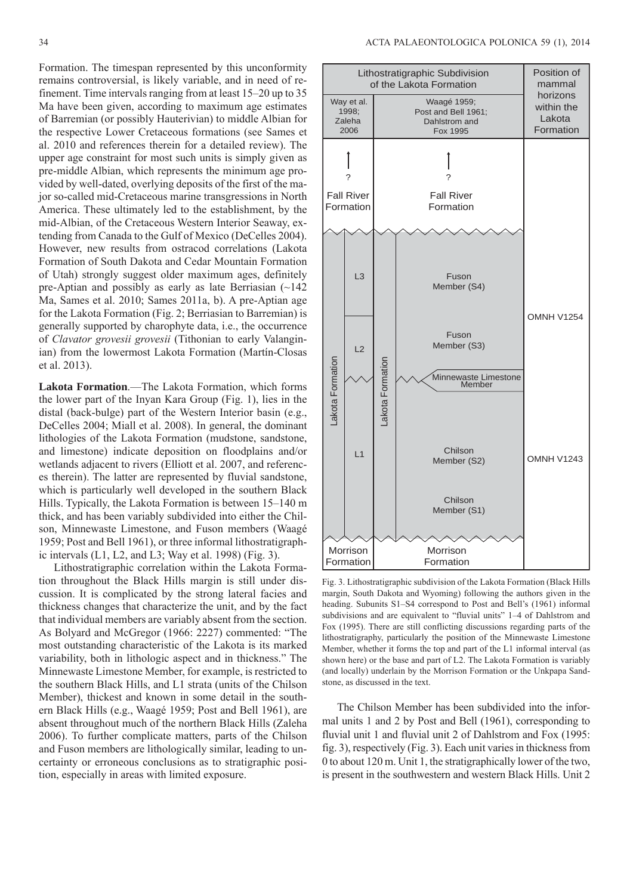Formation. The timespan represented by this unconformity remains controversial, is likely variable, and in need of refinement. Time intervals ranging from at least 15–20 up to 35 Ma have been given, according to maximum age estimates of Barremian (or possibly Hauterivian) to middle Albian for the respective Lower Cretaceous formations (see Sames et al. 2010 and references therein for a detailed review). The upper age constraint for most such units is simply given as pre-middle Albian, which represents the minimum age provided by well-dated, overlying deposits of the first of the major so-called mid-Cretaceous marine transgressions in North America. These ultimately led to the establishment, by the mid-Albian, of the Cretaceous Western Interior Seaway, extending from Canada to the Gulf of Mexico (DeCelles 2004). However, new results from ostracod correlations (Lakota Formation of South Dakota and Cedar Mountain Formation of Utah) strongly suggest older maximum ages, definitely pre-Aptian and possibly as early as late Berriasian (~142 Ma, Sames et al. 2010; Sames 2011a, b). A pre-Aptian age for the Lakota Formation (Fig. 2; Berriasian to Barremian) is generally supported by charophyte data, i.e., the occurrence of *Clavator grovesii grovesii* (Tithonian to early Valanginian) from the lowermost Lakota Formation (Martín-Closas et al. 2013).

**Lakota Formation**.—The Lakota Formation, which forms the lower part of the Inyan Kara Group (Fig. 1), lies in the distal (back-bulge) part of the Western Interior basin (e.g., DeCelles 2004; Miall et al. 2008). In general, the dominant lithologies of the Lakota Formation (mudstone, sandstone, and limestone) indicate deposition on floodplains and/or wetlands adjacent to rivers (Elliott et al. 2007, and references therein). The latter are represented by fluvial sandstone, which is particularly well developed in the southern Black Hills. Typically, the Lakota Formation is between 15–140 m thick, and has been variably subdivided into either the Chilson, Minnewaste Limestone, and Fuson members (Waagé 1959; Post and Bell 1961), or three informal lithostratigraphic intervals  $(L1, L2, and L3;$  Way et al. 1998) (Fig. 3).

Lithostratigraphic correlation within the Lakota Formation throughout the Black Hills margin is still under discussion. It is complicated by the strong lateral facies and thickness changes that characterize the unit, and by the fact that individual members are variably absent from the section. As Bolyard and McGregor (1966: 2227) commented: "The most outstanding characteristic of the Lakota is its marked variability, both in lithologic aspect and in thickness." The Minnewaste Limestone Member, for example, is restricted to the southern Black Hills, and L1 strata (units of the Chilson Member), thickest and known in some detail in the southern Black Hills (e.g., Waagé 1959; Post and Bell 1961), are absent throughout much of the northern Black Hills (Zaleha 2006). To further complicate matters, parts of the Chilson and Fuson members are lithologically similar, leading to uncertainty or erroneous conclusions as to stratigraphic position, especially in areas with limited exposure.



Fig. 3. Lithostratigraphic subdivision of the Lakota Formation (Black Hills margin, South Dakota and Wyoming) following the authors given in the heading. Subunits S1–S4 correspond to Post and Bell's (1961) informal subdivisions and are equivalent to "fluvial units" 1–4 of Dahlstrom and Fox (1995). There are still conflicting discussions regarding parts of the lithostratigraphy, particularly the position of the Minnewaste Limestone Member, whether it forms the top and part of the L1 informal interval (as shown here) or the base and part of L2. The Lakota Formation is variably (and locally) underlain by the Morrison Formation or the Unkpapa Sandstone, as discussed in the text.

The Chilson Member has been subdivided into the informal units 1 and 2 by Post and Bell (1961), corresponding to fluvial unit 1 and fluvial unit 2 of Dahlstrom and Fox (1995: fig. 3), respectively (Fig. 3). Each unit varies in thickness from 0 to about 120 m. Unit 1, the stratigraphically lower of the two, is present in the southwestern and western Black Hills. Unit 2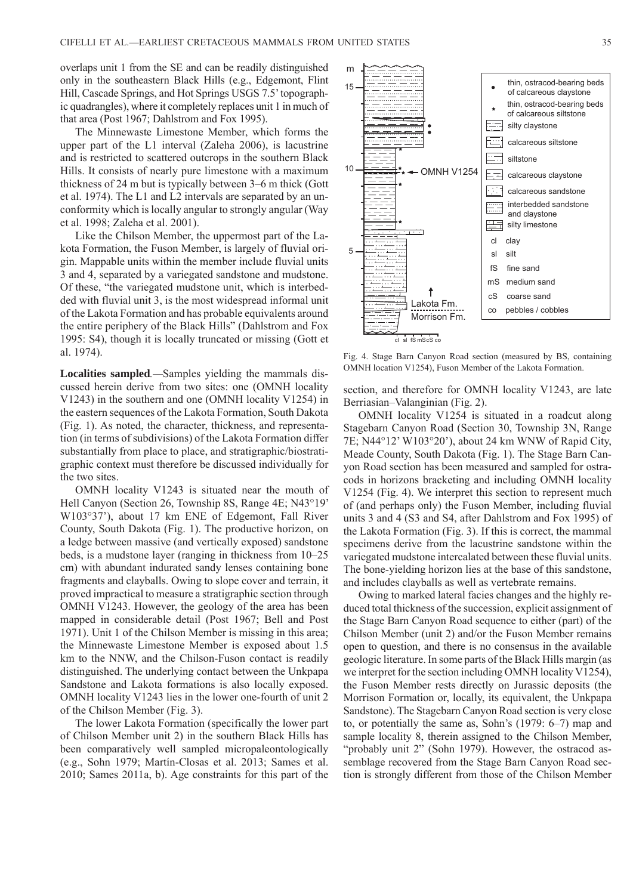overlaps unit 1 from the SE and can be readily distinguished only in the southeastern Black Hills (e.g., Edgemont, Flint Hill, Cascade Springs, and Hot Springs USGS 7.5' topographic quadrangles), where it completely replaces unit 1 in much of that area (Post 1967; Dahlstrom and Fox 1995).

The Minnewaste Limestone Member, which forms the upper part of the L1 interval (Zaleha 2006), is lacustrine and is restricted to scattered outcrops in the southern Black Hills. It consists of nearly pure limestone with a maximum thickness of 24 m but is typically between 3–6 m thick (Gott et al. 1974). The L1 and L2 intervals are separated by an unconformity which is locally angular to strongly angular (Way et al. 1998; Zaleha et al. 2001).

Like the Chilson Member, the uppermost part of the Lakota Formation, the Fuson Member, is largely of fluvial origin. Mappable units within the member include fluvial units 3 and 4, separated by a variegated sandstone and mudstone. Of these, "the variegated mudstone unit, which is interbedded with fluvial unit 3, is the most widespread informal unit of the Lakota Formation and has probable equivalents around the entire periphery of the Black Hills" (Dahlstrom and Fox 1995: S4), though it is locally truncated or missing (Gott et al. 1974).

**Localities sampled***.—*Samples yielding the mammals discussed herein derive from two sites: one (OMNH locality V1243) in the southern and one (OMNH locality V1254) in the eastern sequences of the Lakota Formation, South Dakota (Fig. 1). As noted, the character, thickness, and representation (in terms of subdivisions) of the Lakota Formation differ substantially from place to place, and stratigraphic/biostratigraphic context must therefore be discussed individually for the two sites.

OMNH locality V1243 is situated near the mouth of Hell Canyon (Section 26, Township 8S, Range 4E; N43°19' W103°37'), about 17 km ENE of Edgemont, Fall River County, South Dakota (Fig. 1). The productive horizon, on a ledge between massive (and vertically exposed) sandstone beds, is a mudstone layer (ranging in thickness from 10–25 cm) with abundant indurated sandy lenses containing bone fragments and clayballs. Owing to slope cover and terrain, it proved impractical to measure a stratigraphic section through OMNH V1243. However, the geology of the area has been mapped in considerable detail (Post 1967; Bell and Post 1971). Unit 1 of the Chilson Member is missing in this area; the Minnewaste Limestone Member is exposed about 1.5 km to the NNW, and the Chilson-Fuson contact is readily distinguished. The underlying contact between the Unkpapa Sandstone and Lakota formations is also locally exposed. OMNH locality V1243 lies in the lower one-fourth of unit 2 of the Chilson Member (Fig. 3).

The lower Lakota Formation (specifically the lower part of Chilson Member unit 2) in the southern Black Hills has been comparatively well sampled micropaleontologically (e.g., Sohn 1979; Martín-Closas et al. 2013; Sames et al. 2010; Sames 2011a, b). Age constraints for this part of the



Fig. 4. Stage Barn Canyon Road section (measured by BS, containing OMNH location V1254), Fuson Member of the Lakota Formation.

section, and therefore for OMNH locality V1243, are late Berriasian–Valanginian (Fig. 2).

OMNH locality V1254 is situated in a roadcut along Stagebarn Canyon Road (Section 30, Township 3N, Range 7E; N44°12' W103°20'), about 24 km WNW of Rapid City, Meade County, South Dakota (Fig. 1). The Stage Barn Canyon Road section has been measured and sampled for ostracods in horizons bracketing and including OMNH locality V1254 (Fig. 4). We interpret this section to represent much of (and perhaps only) the Fuson Member, including fluvial units 3 and 4 (S3 and S4, after Dahlstrom and Fox 1995) of the Lakota Formation (Fig. 3). If this is correct, the mammal specimens derive from the lacustrine sandstone within the variegated mudstone intercalated between these fluvial units. The bone-yielding horizon lies at the base of this sandstone, and includes clayballs as well as vertebrate remains.

Owing to marked lateral facies changes and the highly reduced total thickness of the succession, explicit assignment of the Stage Barn Canyon Road sequence to either (part) of the Chilson Member (unit 2) and/or the Fuson Member remains open to question, and there is no consensus in the available geologic literature. In some parts of the Black Hills margin (as we interpret for the section including OMNH locality V1254), the Fuson Member rests directly on Jurassic deposits (the Morrison Formation or, locally, its equivalent, the Unkpapa Sandstone). The Stagebarn Canyon Road section is very close to, or potentially the same as, Sohn's (1979: 6–7) map and sample locality 8, therein assigned to the Chilson Member, "probably unit 2" (Sohn 1979). However, the ostracod assemblage recovered from the Stage Barn Canyon Road section is strongly different from those of the Chilson Member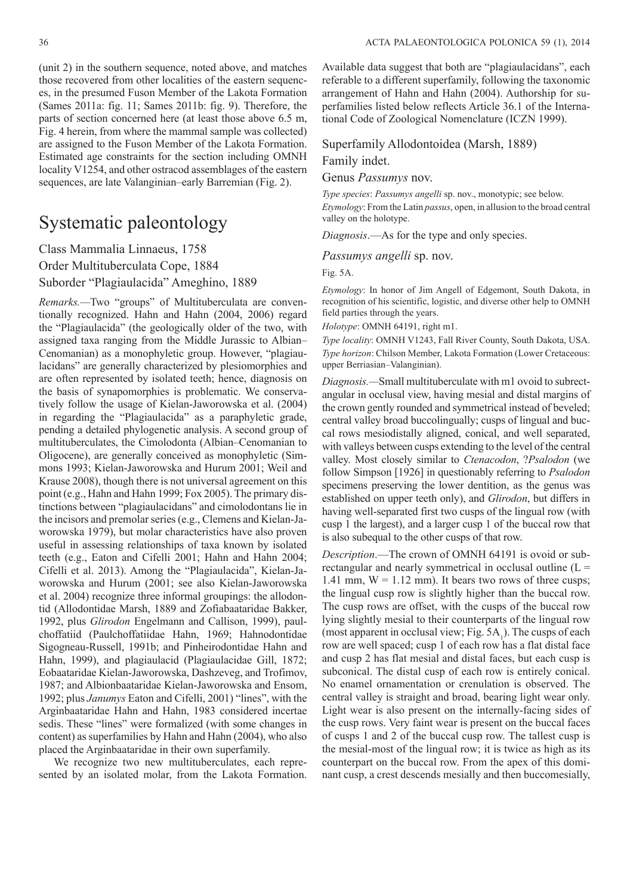(unit 2) in the southern sequence, noted above, and matches those recovered from other localities of the eastern sequences, in the presumed Fuson Member of the Lakota Formation (Sames 2011a: fig. 11; Sames 2011b: fig. 9). Therefore, the parts of section concerned here (at least those above 6.5 m, Fig. 4 herein, from where the mammal sample was collected) are assigned to the Fuson Member of the Lakota Formation. Estimated age constraints for the section including OMNH locality V1254, and other ostracod assemblages of the eastern

sequences, are late Valanginian–early Barremian (Fig. 2).

## Systematic paleontology

Class Mammalia Linnaeus, 1758 Order Multituberculata Cope, 1884 Suborder "Plagiaulacida" Ameghino, 1889

*Remarks.—*Two "groups" of Multituberculata are conventionally recognized. Hahn and Hahn (2004, 2006) regard the "Plagiaulacida" (the geologically older of the two, with assigned taxa ranging from the Middle Jurassic to Albian– Cenomanian) as a monophyletic group. However, "plagiaulacidans" are generally characterized by plesiomorphies and are often represented by isolated teeth; hence, diagnosis on the basis of synapomorphies is problematic. We conservatively follow the usage of Kielan-Jaworowska et al. (2004) in regarding the "Plagiaulacida" as a paraphyletic grade, pending a detailed phylogenetic analysis. A second group of multituberculates, the Cimolodonta (Albian–Cenomanian to Oligocene), are generally conceived as monophyletic (Simmons 1993; Kielan-Jaworowska and Hurum 2001; Weil and Krause 2008), though there is not universal agreement on this point (e.g., Hahn and Hahn 1999; Fox 2005). The primary distinctions between "plagiaulacidans" and cimolodontans lie in the incisors and premolar series (e.g., Clemens and Kielan-Jaworowska 1979), but molar characteristics have also proven useful in assessing relationships of taxa known by isolated teeth (e.g., Eaton and Cifelli 2001; Hahn and Hahn 2004; Cifelli et al. 2013). Among the "Plagiaulacida", Kielan-Jaworowska and Hurum (2001; see also Kielan-Jaworowska et al. 2004) recognize three informal groupings: the allodontid (Allodontidae Marsh, 1889 and Zofiabaataridae Bakker, 1992, plus *Glirodon* Engelmann and Callison, 1999), paulchoffatiid (Paulchoffatiidae Hahn, 1969; Hahnodontidae Sigogneau-Russell, 1991b; and Pinheirodontidae Hahn and Hahn, 1999), and plagiaulacid (Plagiaulacidae Gill, 1872; Eobaataridae Kielan-Jaworowska, Dashzeveg, and Trofimov, 1987; and Albionbaataridae Kielan-Jaworowska and Ensom, 1992; plus *Janumys* Eaton and Cifelli, 2001) "lines", with the Arginbaataridae Hahn and Hahn, 1983 considered incertae sedis. These "lines" were formalized (with some changes in content) as superfamilies by Hahn and Hahn (2004), who also placed the Arginbaataridae in their own superfamily.

We recognize two new multituberculates, each represented by an isolated molar, from the Lakota Formation.

Available data suggest that both are "plagiaulacidans", each referable to a different superfamily, following the taxonomic arrangement of Hahn and Hahn (2004). Authorship for superfamilies listed below reflects Article 36.1 of the International Code of Zoological Nomenclature (ICZN 1999).

Superfamily Allodontoidea (Marsh, 1889)

Family indet.

Genus *Passumys* nov.

*Type species*: *Passumys angelli* sp. nov., monotypic; see below. *Etymology*: From the Latin *passus*, open, in allusion to the broad central valley on the holotype.

*Diagnosis*.—As for the type and only species.

*Passumys angelli* sp. nov.

Fig. 5A.

*Etymology*: In honor of Jim Angell of Edgemont, South Dakota, in recognition of his scientific, logistic, and diverse other help to OMNH field parties through the years.

*Holotype*: OMNH 64191, right m1.

*Type locality*: OMNH V1243, Fall River County, South Dakota, USA. *Type horizon*: Chilson Member, Lakota Formation (Lower Cretaceous: upper Berriasian–Valanginian).

*Diagnosis.—*Small multituberculate with m1 ovoid to subrectangular in occlusal view, having mesial and distal margins of the crown gently rounded and symmetrical instead of beveled; central valley broad buccolingually; cusps of lingual and buccal rows mesiodistally aligned, conical, and well separated, with valleys between cusps extending to the level of the central valley. Most closely similar to *Ctenacodon*, ?*Psalodon* (we follow Simpson [1926] in questionably referring to *Psalodon* specimens preserving the lower dentition, as the genus was established on upper teeth only), and *Glirodon*, but differs in having well-separated first two cusps of the lingual row (with cusp 1 the largest), and a larger cusp 1 of the buccal row that is also subequal to the other cusps of that row.

*Description*.—The crown of OMNH 64191 is ovoid or subrectangular and nearly symmetrical in occlusal outline  $(L =$ 1.41 mm,  $W = 1.12$  mm). It bears two rows of three cusps; the lingual cusp row is slightly higher than the buccal row. The cusp rows are offset, with the cusps of the buccal row lying slightly mesial to their counterparts of the lingual row (most apparent in occlusal view; Fig.  $5A_1$ ). The cusps of each row are well spaced; cusp 1 of each row has a flat distal face and cusp 2 has flat mesial and distal faces, but each cusp is subconical. The distal cusp of each row is entirely conical. No enamel ornamentation or crenulation is observed. The central valley is straight and broad, bearing light wear only. Light wear is also present on the internally-facing sides of the cusp rows. Very faint wear is present on the buccal faces of cusps 1 and 2 of the buccal cusp row. The tallest cusp is the mesial-most of the lingual row; it is twice as high as its counterpart on the buccal row. From the apex of this dominant cusp, a crest descends mesially and then buccomesially,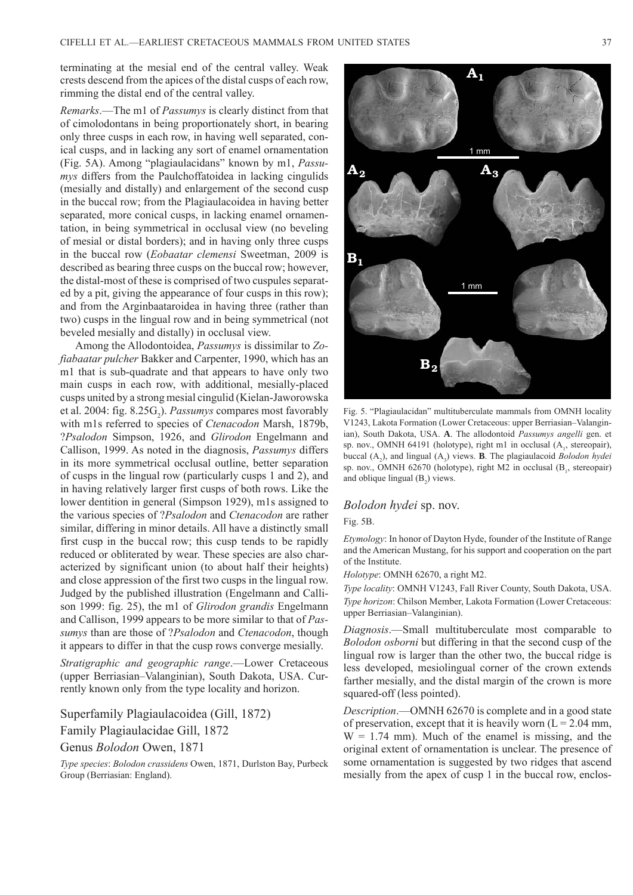terminating at the mesial end of the central valley. Weak crests descend from the apices of the distal cusps of each row, rimming the distal end of the central valley.

*Remarks*.—The m1 of *Passumys* is clearly distinct from that of cimolodontans in being proportionately short, in bearing only three cusps in each row, in having well separated, conical cusps, and in lacking any sort of enamel ornamentation (Fig. 5A). Among "plagiaulacidans" known by m1, *Passumys* differs from the Paulchoffatoidea in lacking cingulids (mesially and distally) and enlargement of the second cusp in the buccal row; from the Plagiaulacoidea in having better separated, more conical cusps, in lacking enamel ornamentation, in being symmetrical in occlusal view (no beveling of mesial or distal borders); and in having only three cusps in the buccal row (*Eobaatar clemensi* Sweetman, 2009 is described as bearing three cusps on the buccal row; however, the distal-most of these is comprised of two cuspules separated by a pit, giving the appearance of four cusps in this row); and from the Arginbaataroidea in having three (rather than two) cusps in the lingual row and in being symmetrical (not beveled mesially and distally) in occlusal view.

Among the Allodontoidea, *Passumys* is dissimilar to *Zofiabaatar pulcher* Bakker and Carpenter, 1990, which has an m1 that is sub-quadrate and that appears to have only two main cusps in each row, with additional, mesially-placed cusps united by a strong mesial cingulid (Kielan-Jaworowska et al. 2004: fig. 8.25G<sub>2</sub>). *Passumys* compares most favorably with m1s referred to species of *Ctenacodon* Marsh, 1879b, ?*Psalodon* Simpson, 1926, and *Glirodon* Engelmann and Callison, 1999. As noted in the diagnosis, *Passumys* differs in its more symmetrical occlusal outline, better separation of cusps in the lingual row (particularly cusps 1 and 2), and in having relatively larger first cusps of both rows. Like the lower dentition in general (Simpson 1929), m1s assigned to the various species of ?*Psalodon* and *Ctenacodon* are rather similar, differing in minor details. All have a distinctly small first cusp in the buccal row; this cusp tends to be rapidly reduced or obliterated by wear. These species are also characterized by significant union (to about half their heights) and close appression of the first two cusps in the lingual row. Judged by the published illustration (Engelmann and Callison 1999: fig. 25), the m1 of *Glirodon grandis* Engelmann and Callison, 1999 appears to be more similar to that of *Passumys* than are those of ?*Psalodon* and *Ctenacodon*, though it appears to differ in that the cusp rows converge mesially.

*Stratigraphic and geographic range*.—Lower Cretaceous (upper Berriasian–Valanginian), South Dakota, USA. Currently known only from the type locality and horizon.

Superfamily Plagiaulacoidea (Gill, 1872)

Family Plagiaulacidae Gill, 1872

Genus *Bolodon* Owen, 1871

*Type species*: *Bolodon crassidens* Owen, 1871, Durlston Bay, Purbeck Group (Berriasian: England).



Fig. 5. "Plagiaulacidan" multituberculate mammals from OMNH locality V1243, Lakota Formation (Lower Cretaceous: upper Berriasian–Valanginian), South Dakota, USA. **A**. The allodontoid *Passumys angelli* gen. et sp. nov., OMNH 64191 (holotype), right m1 in occlusal (A<sub>1</sub>, stereopair), buccal  $(A_2)$ , and lingual  $(A_3)$  views. **B**. The plagiaulacoid *Bolodon hydei* sp. nov., OMNH 62670 (holotype), right M2 in occlusal (B<sub>1</sub>, stereopair) and oblique lingual  $(B_2)$  views.

#### *Bolodon hydei* sp. nov.

#### Fig. 5B.

*Etymology*: In honor of Dayton Hyde, founder of the Institute of Range and the American Mustang, for his support and cooperation on the part of the Institute.

*Holotype*: OMNH 62670, a right M2.

*Type locality*: OMNH V1243, Fall River County, South Dakota, USA. *Type horizon*: Chilson Member, Lakota Formation (Lower Cretaceous: upper Berriasian–Valanginian).

*Diagnosis*.—Small multituberculate most comparable to *Bolodon osborni* but differing in that the second cusp of the lingual row is larger than the other two, the buccal ridge is less developed, mesiolingual corner of the crown extends farther mesially, and the distal margin of the crown is more squared-off (less pointed).

*Description*.—OMNH 62670 is complete and in a good state of preservation, except that it is heavily worn  $(L = 2.04$  mm,  $W = 1.74$  mm). Much of the enamel is missing, and the original extent of ornamentation is unclear. The presence of some ornamentation is suggested by two ridges that ascend mesially from the apex of cusp 1 in the buccal row, enclos-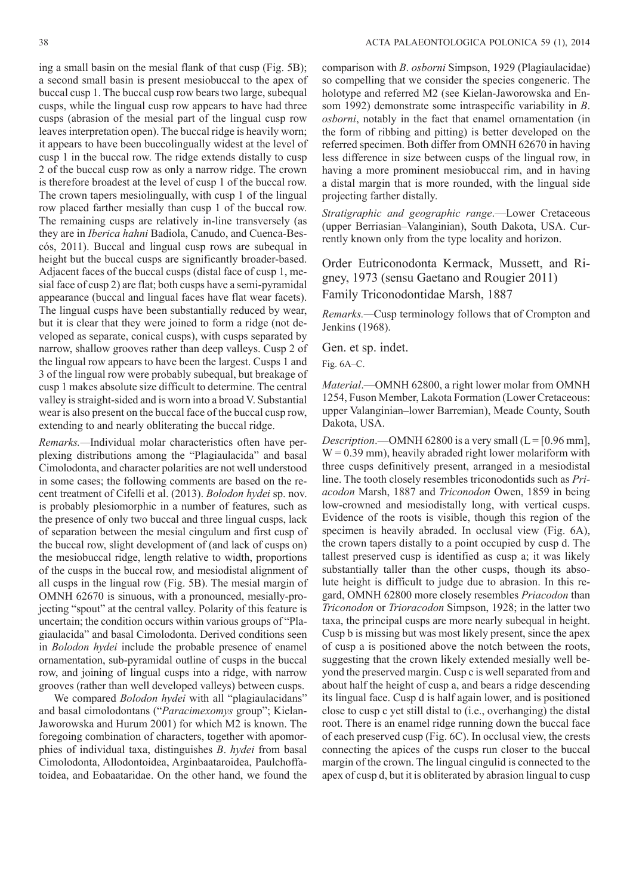ing a small basin on the mesial flank of that cusp (Fig. 5B); a second small basin is present mesiobuccal to the apex of buccal cusp 1. The buccal cusp row bears two large, subequal cusps, while the lingual cusp row appears to have had three cusps (abrasion of the mesial part of the lingual cusp row leaves interpretation open). The buccal ridge is heavily worn; it appears to have been buccolingually widest at the level of cusp 1 in the buccal row. The ridge extends distally to cusp 2 of the buccal cusp row as only a narrow ridge. The crown is therefore broadest at the level of cusp 1 of the buccal row. The crown tapers mesiolingually, with cusp 1 of the lingual row placed farther mesially than cusp 1 of the buccal row. The remaining cusps are relatively in-line transversely (as they are in *Iberica hahni* Badiola, Canudo, and Cuenca-Bescós, 2011). Buccal and lingual cusp rows are subequal in height but the buccal cusps are significantly broader-based. Adjacent faces of the buccal cusps (distal face of cusp 1, mesial face of cusp 2) are flat; both cusps have a semi-pyramidal appearance (buccal and lingual faces have flat wear facets). The lingual cusps have been substantially reduced by wear, but it is clear that they were joined to form a ridge (not developed as separate, conical cusps), with cusps separated by narrow, shallow grooves rather than deep valleys. Cusp 2 of the lingual row appears to have been the largest. Cusps 1 and 3 of the lingual row were probably subequal, but breakage of cusp 1 makes absolute size difficult to determine. The central valley is straight-sided and is worn into a broad V. Substantial wear is also present on the buccal face of the buccal cusp row, extending to and nearly obliterating the buccal ridge.

*Remarks.—*Individual molar characteristics often have perplexing distributions among the "Plagiaulacida" and basal Cimolodonta, and character polarities are not well understood in some cases; the following comments are based on the recent treatment of Cifelli et al. (2013). *Bolodon hydei* sp. nov. is probably plesiomorphic in a number of features, such as the presence of only two buccal and three lingual cusps, lack of separation between the mesial cingulum and first cusp of the buccal row, slight development of (and lack of cusps on) the mesiobuccal ridge, length relative to width, proportions of the cusps in the buccal row, and mesiodistal alignment of all cusps in the lingual row (Fig. 5B). The mesial margin of OMNH 62670 is sinuous, with a pronounced, mesially-projecting "spout" at the central valley. Polarity of this feature is uncertain; the condition occurs within various groups of "Plagiaulacida" and basal Cimolodonta. Derived conditions seen in *Bolodon hydei* include the probable presence of enamel ornamentation, sub-pyramidal outline of cusps in the buccal row, and joining of lingual cusps into a ridge, with narrow grooves (rather than well developed valleys) between cusps.

We compared *Bolodon hydei* with all "plagiaulacidans" and basal cimolodontans ("*Paracimexomys* group"; Kielan-Jaworowska and Hurum 2001) for which M2 is known. The foregoing combination of characters, together with apomorphies of individual taxa, distinguishes *B*. *hydei* from basal Cimolodonta, Allodontoidea, Arginbaataroidea, Paulchoffatoidea, and Eobaataridae. On the other hand, we found the

comparison with *B*. *osborni* Simpson, 1929 (Plagiaulacidae) so compelling that we consider the species congeneric. The holotype and referred M2 (see Kielan-Jaworowska and Ensom 1992) demonstrate some intraspecific variability in *B*. *osborni*, notably in the fact that enamel ornamentation (in the form of ribbing and pitting) is better developed on the referred specimen. Both differ from OMNH 62670 in having less difference in size between cusps of the lingual row, in having a more prominent mesiobuccal rim, and in having a distal margin that is more rounded, with the lingual side projecting farther distally.

*Stratigraphic and geographic range*.—Lower Cretaceous (upper Berriasian–Valanginian), South Dakota, USA. Currently known only from the type locality and horizon.

Order Eutriconodonta Kermack, Mussett, and Rigney, 1973 (sensu Gaetano and Rougier 2011) Family Triconodontidae Marsh, 1887

*Remarks.—*Cusp terminology follows that of Crompton and Jenkins (1968).

Gen. et sp. indet.

Fig. 6A–C.

*Material*.—OMNH 62800, a right lower molar from OMNH 1254, Fuson Member, Lakota Formation (Lower Cretaceous: upper Valanginian–lower Barremian), Meade County, South Dakota, USA.

*Description*.—OMNH 62800 is a very small  $(L = [0.96$  mm],  $W = 0.39$  mm), heavily abraded right lower molariform with three cusps definitively present, arranged in a mesiodistal line. The tooth closely resembles triconodontids such as *Priacodon* Marsh, 1887 and *Triconodon* Owen, 1859 in being low-crowned and mesiodistally long, with vertical cusps. Evidence of the roots is visible, though this region of the specimen is heavily abraded. In occlusal view (Fig. 6A), the crown tapers distally to a point occupied by cusp d. The tallest preserved cusp is identified as cusp a; it was likely substantially taller than the other cusps, though its absolute height is difficult to judge due to abrasion. In this regard, OMNH 62800 more closely resembles *Priacodon* than *Triconodon* or *Trioracodon* Simpson, 1928; in the latter two taxa, the principal cusps are more nearly subequal in height. Cusp b is missing but was most likely present, since the apex of cusp a is positioned above the notch between the roots, suggesting that the crown likely extended mesially well beyond the preserved margin. Cusp c is well separated from and about half the height of cusp a, and bears a ridge descending its lingual face. Cusp d is half again lower, and is positioned close to cusp c yet still distal to (i.e., overhanging) the distal root. There is an enamel ridge running down the buccal face of each preserved cusp (Fig. 6C). In occlusal view, the crests connecting the apices of the cusps run closer to the buccal margin of the crown. The lingual cingulid is connected to the apex of cusp d, but it is obliterated by abrasion lingual to cusp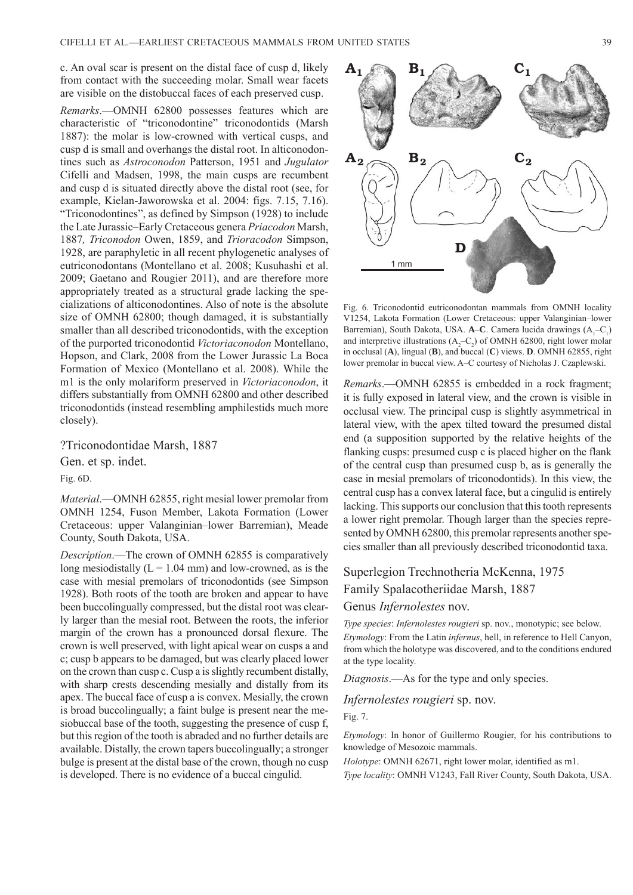c. An oval scar is present on the distal face of cusp d, likely from contact with the succeeding molar. Small wear facets are visible on the distobuccal faces of each preserved cusp.

*Remarks*.—OMNH 62800 possesses features which are characteristic of "triconodontine" triconodontids (Marsh 1887): the molar is low-crowned with vertical cusps, and cusp d is small and overhangs the distal root. In alticonodontines such as *Astroconodon* Patterson, 1951 and *Jugulator* Cifelli and Madsen, 1998, the main cusps are recumbent and cusp d is situated directly above the distal root (see, for example, Kielan-Jaworowska et al. 2004: figs. 7.15, 7.16). "Triconodontines", as defined by Simpson (1928) to include the Late Jurassic–Early Cretaceous genera *Priacodon* Marsh, 1887*, Triconodon* Owen, 1859, and *Trioracodon* Simpson, 1928, are paraphyletic in all recent phylogenetic analyses of eutriconodontans (Montellano et al. 2008; Kusuhashi et al. 2009; Gaetano and Rougier 2011), and are therefore more appropriately treated as a structural grade lacking the specializations of alticonodontines. Also of note is the absolute size of OMNH 62800; though damaged, it is substantially smaller than all described triconodontids, with the exception of the purported triconodontid *Victoriaconodon* Montellano, Hopson, and Clark, 2008 from the Lower Jurassic La Boca Formation of Mexico (Montellano et al. 2008). While the m1 is the only molariform preserved in *Victoriaconodon*, it differs substantially from OMNH 62800 and other described triconodontids (instead resembling amphilestids much more closely).

?Triconodontidae Marsh, 1887

Gen. et sp. indet.

Fig. 6D.

*Material*.—OMNH 62855, right mesial lower premolar from OMNH 1254, Fuson Member, Lakota Formation (Lower Cretaceous: upper Valanginian–lower Barremian), Meade County, South Dakota, USA.

*Description*.—The crown of OMNH 62855 is comparatively long mesiodistally  $(L = 1.04$  mm) and low-crowned, as is the case with mesial premolars of triconodontids (see Simpson 1928). Both roots of the tooth are broken and appear to have been buccolingually compressed, but the distal root was clearly larger than the mesial root. Between the roots, the inferior margin of the crown has a pronounced dorsal flexure. The crown is well preserved, with light apical wear on cusps a and c; cusp b appears to be damaged, but was clearly placed lower on the crown than cusp c. Cusp a is slightly recumbent distally, with sharp crests descending mesially and distally from its apex. The buccal face of cusp a is convex. Mesially, the crown is broad buccolingually; a faint bulge is present near the mesiobuccal base of the tooth, suggesting the presence of cusp f, but this region of the tooth is abraded and no further details are available. Distally, the crown tapers buccolingually; a stronger bulge is present at the distal base of the crown, though no cusp is developed. There is no evidence of a buccal cingulid.



Fig. 6. Triconodontid eutriconodontan mammals from OMNH locality V1254, Lakota Formation (Lower Cretaceous: upper Valanginian–lower Barremian), South Dakota, USA. **A–C**. Camera lucida drawings (A<sub>1</sub>–C<sub>1</sub>) and interpretive illustrations  $(A_2 - C_2)$  of OMNH 62800, right lower molar in occlusal (**A**), lingual (**B**), and buccal (**C**) views. **D**. OMNH 62855, right lower premolar in buccal view. A–C courtesy of Nicholas J. Czaplewski.

*Remarks*.—OMNH 62855 is embedded in a rock fragment; it is fully exposed in lateral view, and the crown is visible in occlusal view. The principal cusp is slightly asymmetrical in lateral view, with the apex tilted toward the presumed distal end (a supposition supported by the relative heights of the flanking cusps: presumed cusp c is placed higher on the flank of the central cusp than presumed cusp b, as is generally the case in mesial premolars of triconodontids). In this view, the central cusp has a convex lateral face, but a cingulid is entirely lacking. This supports our conclusion that this tooth represents a lower right premolar. Though larger than the species represented by OMNH 62800, this premolar represents another species smaller than all previously described triconodontid taxa.

## Superlegion Trechnotheria McKenna, 1975 Family Spalacotheriidae Marsh, 1887 Genus *Infernolestes* nov.

*Type species*: *Infernolestes rougieri* sp. nov., monotypic; see below. *Etymology*: From the Latin *infernus*, hell, in reference to Hell Canyon, from which the holotype was discovered, and to the conditions endured at the type locality.

*Diagnosis*.—As for the type and only species.

#### *Infernolestes rougieri* sp. nov.

Fig. 7.

*Etymology*: In honor of Guillermo Rougier, for his contributions to knowledge of Mesozoic mammals.

*Holotype*: OMNH 62671, right lower molar, identified as m1.

*Type locality*: OMNH V1243, Fall River County, South Dakota, USA.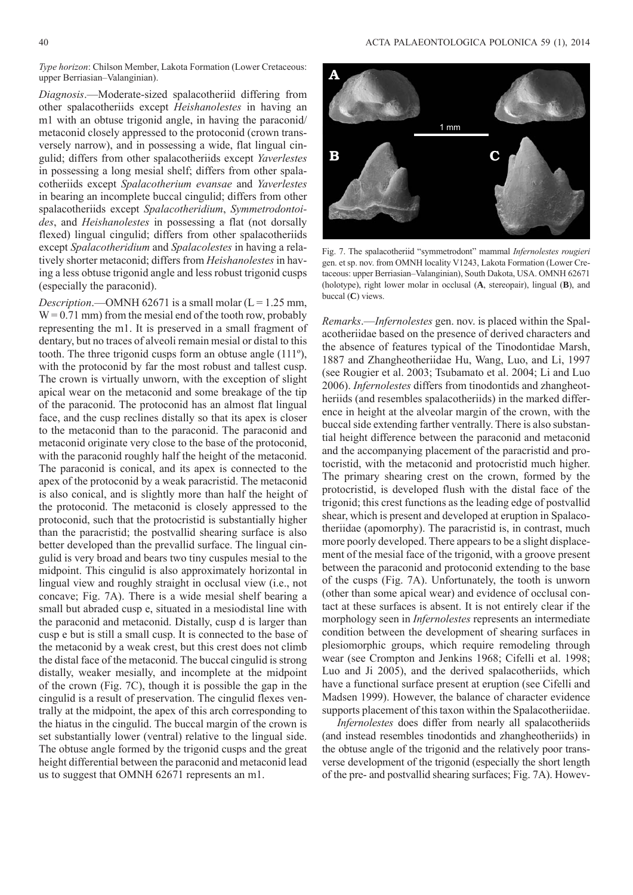*Type horizon*: Chilson Member, Lakota Formation (Lower Cretaceous: upper Berriasian–Valanginian).

*Diagnosis*.—Moderate-sized spalacotheriid differing from other spalacotheriids except *Heishanolestes* in having an m1 with an obtuse trigonid angle, in having the paraconid/ metaconid closely appressed to the protoconid (crown transversely narrow), and in possessing a wide, flat lingual cingulid; differs from other spalacotheriids except *Yaverlestes* in possessing a long mesial shelf; differs from other spalacotheriids except *Spalacotherium evansae* and *Yaverlestes* in bearing an incomplete buccal cingulid; differs from other spalacotheriids except *Spalacotheridium*, *Symmetrodontoides*, and *Heishanolestes* in possessing a flat (not dorsally flexed) lingual cingulid; differs from other spalacotheriids except *Spalacotheridium* and *Spalacolestes* in having a relatively shorter metaconid; differs from *Heishanolestes* in having a less obtuse trigonid angle and less robust trigonid cusps (especially the paraconid).

*Description*.—OMNH 62671 is a small molar ( $L = 1.25$  mm,  $W = 0.71$  mm) from the mesial end of the tooth row, probably representing the m1. It is preserved in a small fragment of dentary, but no traces of alveoli remain mesial or distal to this tooth. The three trigonid cusps form an obtuse angle (111º), with the protoconid by far the most robust and tallest cusp. The crown is virtually unworn, with the exception of slight apical wear on the metaconid and some breakage of the tip of the paraconid. The protoconid has an almost flat lingual face, and the cusp reclines distally so that its apex is closer to the metaconid than to the paraconid. The paraconid and metaconid originate very close to the base of the protoconid, with the paraconid roughly half the height of the metaconid. The paraconid is conical, and its apex is connected to the apex of the protoconid by a weak paracristid. The metaconid is also conical, and is slightly more than half the height of the protoconid. The metaconid is closely appressed to the protoconid, such that the protocristid is substantially higher than the paracristid; the postvallid shearing surface is also better developed than the prevallid surface. The lingual cingulid is very broad and bears two tiny cuspules mesial to the midpoint. This cingulid is also approximately horizontal in lingual view and roughly straight in occlusal view (i.e., not concave; Fig. 7A). There is a wide mesial shelf bearing a small but abraded cusp e, situated in a mesiodistal line with the paraconid and metaconid. Distally, cusp d is larger than cusp e but is still a small cusp. It is connected to the base of the metaconid by a weak crest, but this crest does not climb the distal face of the metaconid. The buccal cingulid is strong distally, weaker mesially, and incomplete at the midpoint of the crown (Fig. 7C), though it is possible the gap in the cingulid is a result of preservation. The cingulid flexes ventrally at the midpoint, the apex of this arch corresponding to the hiatus in the cingulid. The buccal margin of the crown is set substantially lower (ventral) relative to the lingual side. The obtuse angle formed by the trigonid cusps and the great height differential between the paraconid and metaconid lead us to suggest that OMNH 62671 represents an m1.



Fig. 7. The spalacotheriid "symmetrodont" mammal *Infernolestes rougieri* gen. et sp. nov. from OMNH locality V1243, Lakota Formation (Lower Cretaceous: upper Berriasian–Valanginian), South Dakota, USA. OMNH 62671 (holotype), right lower molar in occlusal (**A**, stereopair), lingual (**B**), and buccal (**C**) views.

*Remarks*.—*Infernolestes* gen. nov. is placed within the Spalacotheriidae based on the presence of derived characters and the absence of features typical of the Tinodontidae Marsh, 1887 and Zhangheotheriidae Hu, Wang, Luo, and Li, 1997 (see Rougier et al. 2003; Tsubamato et al. 2004; Li and Luo 2006). *Infernolestes* differs from tinodontids and zhangheotheriids (and resembles spalacotheriids) in the marked difference in height at the alveolar margin of the crown, with the buccal side extending farther ventrally. There is also substantial height difference between the paraconid and metaconid and the accompanying placement of the paracristid and protocristid, with the metaconid and protocristid much higher. The primary shearing crest on the crown, formed by the protocristid, is developed flush with the distal face of the trigonid; this crest functions as the leading edge of postvallid shear, which is present and developed at eruption in Spalacotheriidae (apomorphy). The paracristid is, in contrast, much more poorly developed. There appears to be a slight displacement of the mesial face of the trigonid, with a groove present between the paraconid and protoconid extending to the base of the cusps (Fig. 7A). Unfortunately, the tooth is unworn (other than some apical wear) and evidence of occlusal contact at these surfaces is absent. It is not entirely clear if the morphology seen in *Infernolestes* represents an intermediate condition between the development of shearing surfaces in plesiomorphic groups, which require remodeling through wear (see Crompton and Jenkins 1968; Cifelli et al. 1998; Luo and Ji 2005), and the derived spalacotheriids, which have a functional surface present at eruption (see Cifelli and Madsen 1999). However, the balance of character evidence supports placement of this taxon within the Spalacotheriidae.

*Infernolestes* does differ from nearly all spalacotheriids (and instead resembles tinodontids and zhangheotheriids) in the obtuse angle of the trigonid and the relatively poor transverse development of the trigonid (especially the short length of the pre- and postvallid shearing surfaces; Fig. 7A). Howev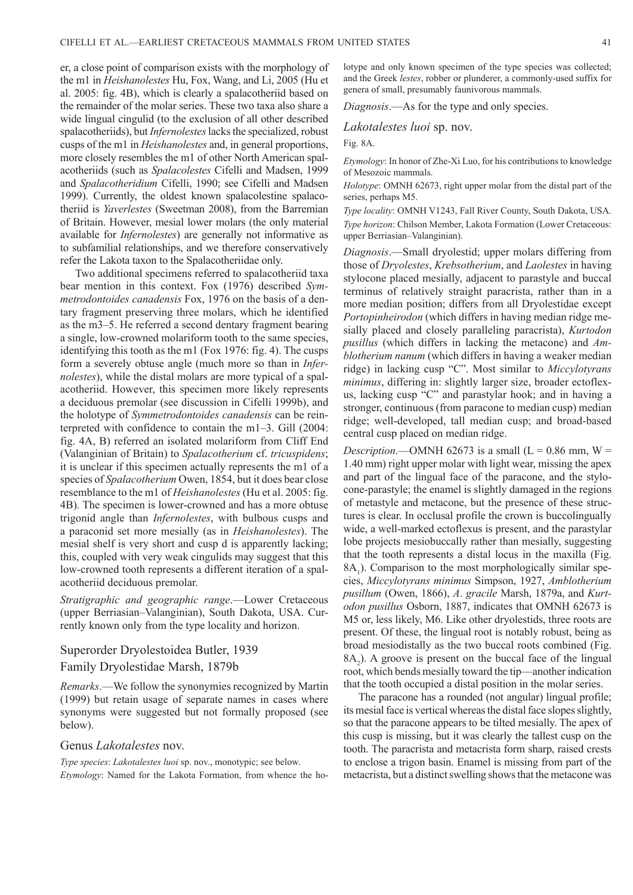er, a close point of comparison exists with the morphology of the m1 in *Heishanolestes* Hu, Fox, Wang, and Li, 2005 (Hu et al. 2005: fig. 4B), which is clearly a spalacotheriid based on the remainder of the molar series. These two taxa also share a wide lingual cingulid (to the exclusion of all other described spalacotheriids), but *Infernolestes* lacks the specialized, robust cusps of the m1 in *Heishanolestes* and, in general proportions, more closely resembles the m1 of other North American spalacotheriids (such as *Spalacolestes* Cifelli and Madsen, 1999 and *Spalacotheridium* Cifelli, 1990; see Cifelli and Madsen 1999). Currently, the oldest known spalacolestine spalacotheriid is *Yaverlestes* (Sweetman 2008), from the Barremian of Britain. However, mesial lower molars (the only material available for *Infernolestes*) are generally not informative as to subfamilial relationships, and we therefore conservatively refer the Lakota taxon to the Spalacotheriidae only.

Two additional specimens referred to spalacotheriid taxa bear mention in this context. Fox (1976) described *Symmetrodontoides canadensis* Fox, 1976 on the basis of a dentary fragment preserving three molars, which he identified as the m3–5. He referred a second dentary fragment bearing a single, low-crowned molariform tooth to the same species, identifying this tooth as the m1 (Fox 1976: fig. 4). The cusps form a severely obtuse angle (much more so than in *Infernolestes*), while the distal molars are more typical of a spalacotheriid. However, this specimen more likely represents a deciduous premolar (see discussion in Cifelli 1999b), and the holotype of *Symmetrodontoides canadensis* can be reinterpreted with confidence to contain the m1–3. Gill (2004: fig. 4A, B) referred an isolated molariform from Cliff End (Valanginian of Britain) to *Spalacotherium* cf. *tricuspidens*; it is unclear if this specimen actually represents the m1 of a species of *Spalacotherium* Owen, 1854, but it does bear close resemblance to the m1 of *Heishanolestes* (Hu et al. 2005: fig. 4B). The specimen is lower-crowned and has a more obtuse trigonid angle than *Infernolestes*, with bulbous cusps and a paraconid set more mesially (as in *Heishanolestes*). The mesial shelf is very short and cusp d is apparently lacking; this, coupled with very weak cingulids may suggest that this low-crowned tooth represents a different iteration of a spalacotheriid deciduous premolar.

*Stratigraphic and geographic range*.—Lower Cretaceous (upper Berriasian–Valanginian), South Dakota, USA. Currently known only from the type locality and horizon.

### Superorder Dryolestoidea Butler, 1939 Family Dryolestidae Marsh, 1879b

*Remarks*.—We follow the synonymies recognized by Martin (1999) but retain usage of separate names in cases where synonyms were suggested but not formally proposed (see below).

#### Genus *Lakotalestes* nov.

*Type species*: *Lakotalestes luoi* sp. nov., monotypic; see below. *Etymology*: Named for the Lakota Formation, from whence the holotype and only known specimen of the type species was collected; and the Greek *lestes*, robber or plunderer, a commonly-used suffix for genera of small, presumably faunivorous mammals.

*Diagnosis*.—As for the type and only species.

*Lakotalestes luoi* sp. nov.

Fig. 8A.

*Etymology*: In honor of Zhe-Xi Luo, for his contributions to knowledge of Mesozoic mammals.

*Holotype*: OMNH 62673, right upper molar from the distal part of the series, perhaps M5.

*Type locality*: OMNH V1243, Fall River County, South Dakota, USA. *Type horizon*: Chilson Member, Lakota Formation (Lower Cretaceous: upper Berriasian–Valanginian).

*Diagnosis*.—Small dryolestid; upper molars differing from those of *Dryolestes*, *Krebsotherium*, and *Laolestes* in having stylocone placed mesially, adjacent to parastyle and buccal terminus of relatively straight paracrista, rather than in a more median position; differs from all Dryolestidae except *Portopinheirodon* (which differs in having median ridge mesially placed and closely paralleling paracrista), *Kurtodon pusillus* (which differs in lacking the metacone) and *Amblotherium nanum* (which differs in having a weaker median ridge) in lacking cusp "C". Most similar to *Miccylotyrans minimus*, differing in: slightly larger size, broader ectoflexus, lacking cusp "C" and parastylar hook; and in having a stronger, continuous (from paracone to median cusp) median ridge; well-developed, tall median cusp; and broad-based central cusp placed on median ridge.

*Description*.—OMNH 62673 is a small  $(L = 0.86$  mm,  $W =$ 1.40 mm) right upper molar with light wear, missing the apex and part of the lingual face of the paracone, and the stylocone-parastyle; the enamel is slightly damaged in the regions of metastyle and metacone, but the presence of these structures is clear. In occlusal profile the crown is buccolingually wide, a well-marked ectoflexus is present, and the parastylar lobe projects mesiobuccally rather than mesially, suggesting that the tooth represents a distal locus in the maxilla (Fig.  $8A<sub>1</sub>$ ). Comparison to the most morphologically similar species, *Miccylotyrans minimus* Simpson, 1927, *Amblotherium pusillum* (Owen, 1866), *A*. *gracile* Marsh, 1879a, and *Kurtodon pusillus* Osborn, 1887, indicates that OMNH 62673 is M5 or, less likely, M6. Like other dryolestids, three roots are present. Of these, the lingual root is notably robust, being as broad mesiodistally as the two buccal roots combined (Fig.  $8A<sub>2</sub>$ ). A groove is present on the buccal face of the lingual root, which bends mesially toward the tip—another indication that the tooth occupied a distal position in the molar series.

The paracone has a rounded (not angular) lingual profile; its mesial face is vertical whereas the distal face slopes slightly, so that the paracone appears to be tilted mesially. The apex of this cusp is missing, but it was clearly the tallest cusp on the tooth. The paracrista and metacrista form sharp, raised crests to enclose a trigon basin. Enamel is missing from part of the metacrista, but a distinct swelling shows that the metacone was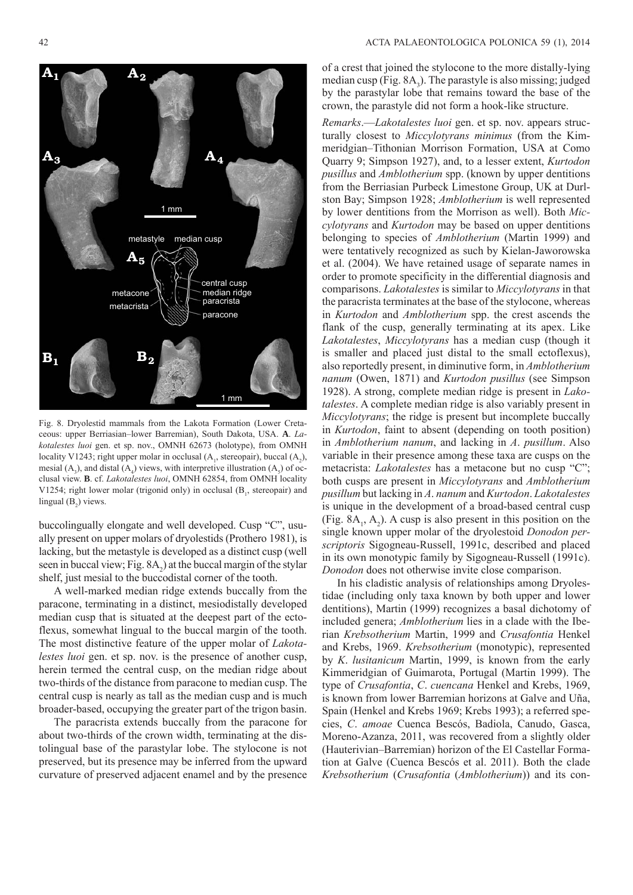

Fig. 8. Dryolestid mammals from the Lakota Formation (Lower Cretaceous: upper Berriasian–lower Barremian), South Dakota, USA. **A**. *Lakotalestes luoi* gen. et sp. nov., OMNH 62673 (holotype), from OMNH locality V1243; right upper molar in occlusal  $(A_1, \text{stereopair})$ , buccal  $(A_2)$ , mesial  $(A_3)$ , and distal  $(A_4)$  views, with interpretive illustration  $(A_5)$  of occlusal view. **B**. cf. *Lakotalestes luoi*, OMNH 62854, from OMNH locality V1254; right lower molar (trigonid only) in occlusal  $(B<sub>1</sub>$ , stereopair) and lingual  $(B_2)$  views.

buccolingually elongate and well developed. Cusp "C", usually present on upper molars of dryolestids (Prothero 1981), is lacking, but the metastyle is developed as a distinct cusp (well seen in buccal view; Fig.  $8A_2$ ) at the buccal margin of the stylar shelf, just mesial to the buccodistal corner of the tooth.

A well-marked median ridge extends buccally from the paracone, terminating in a distinct, mesiodistally developed median cusp that is situated at the deepest part of the ectoflexus, somewhat lingual to the buccal margin of the tooth. The most distinctive feature of the upper molar of *Lakotalestes luoi* gen. et sp. nov. is the presence of another cusp, herein termed the central cusp, on the median ridge about two-thirds of the distance from paracone to median cusp. The central cusp is nearly as tall as the median cusp and is much broader-based, occupying the greater part of the trigon basin.

The paracrista extends buccally from the paracone for about two-thirds of the crown width, terminating at the distolingual base of the parastylar lobe. The stylocone is not preserved, but its presence may be inferred from the upward curvature of preserved adjacent enamel and by the presence

of a crest that joined the stylocone to the more distally-lying median cusp (Fig.  $8A_3$ ). The parastyle is also missing; judged by the parastylar lobe that remains toward the base of the crown, the parastyle did not form a hook-like structure.

*Remarks*.—*Lakotalestes luoi* gen. et sp. nov. appears structurally closest to *Miccylotyrans minimus* (from the Kimmeridgian–Tithonian Morrison Formation, USA at Como Quarry 9; Simpson 1927), and, to a lesser extent, *Kurtodon pusillus* and *Amblotherium* spp. (known by upper dentitions from the Berriasian Purbeck Limestone Group, UK at Durlston Bay; Simpson 1928; *Amblotherium* is well represented by lower dentitions from the Morrison as well). Both *Miccylotyrans* and *Kurtodon* may be based on upper dentitions belonging to species of *Amblotherium* (Martin 1999) and were tentatively recognized as such by Kielan-Jaworowska et al. (2004). We have retained usage of separate names in order to promote specificity in the differential diagnosis and comparisons. *Lakotalestes* is similar to *Miccylotyrans* in that the paracrista terminates at the base of the stylocone, whereas in *Kurtodon* and *Amblotherium* spp. the crest ascends the flank of the cusp, generally terminating at its apex. Like *Lakotalestes*, *Miccylotyrans* has a median cusp (though it is smaller and placed just distal to the small ectoflexus), also reportedly present, in diminutive form, in *Amblotherium nanum* (Owen, 1871) and *Kurtodon pusillus* (see Simpson 1928). A strong, complete median ridge is present in *Lakotalestes*. A complete median ridge is also variably present in *Miccylotyrans*; the ridge is present but incomplete buccally in *Kurtodon*, faint to absent (depending on tooth position) in *Amblotherium nanum*, and lacking in *A*. *pusillum*. Also variable in their presence among these taxa are cusps on the metacrista: *Lakotalestes* has a metacone but no cusp "C"; both cusps are present in *Miccylotyrans* and *Amblotherium pusillum* but lacking in *A*. *nanum* and *Kurtodon*. *Lakotalestes* is unique in the development of a broad-based central cusp (Fig.  $8A_1$ ,  $A_2$ ). A cusp is also present in this position on the single known upper molar of the dryolestoid *Donodon perscriptoris* Sigogneau-Russell, 1991c, described and placed in its own monotypic family by Sigogneau-Russell (1991c). *Donodon* does not otherwise invite close comparison.

In his cladistic analysis of relationships among Dryolestidae (including only taxa known by both upper and lower dentitions), Martin (1999) recognizes a basal dichotomy of included genera; *Amblotherium* lies in a clade with the Iberian *Krebsotherium* Martin, 1999 and *Crusafontia* Henkel and Krebs, 1969. *Krebsotherium* (monotypic), represented by *K*. *lusitanicum* Martin, 1999, is known from the early Kimmeridgian of Guimarota, Portugal (Martin 1999). The type of *Crusafontia*, *C*. *cuencana* Henkel and Krebs, 1969, is known from lower Barremian horizons at Galve and Uña, Spain (Henkel and Krebs 1969; Krebs 1993); a referred species, *C*. *amoae* Cuenca Bescós, Badiola, Canudo, Gasca, Moreno-Azanza, 2011, was recovered from a slightly older (Hauterivian–Barremian) horizon of the El Castellar Formation at Galve (Cuenca Bescós et al. 2011). Both the clade *Krebsotherium* (*Crusafontia* (*Amblotherium*)) and its con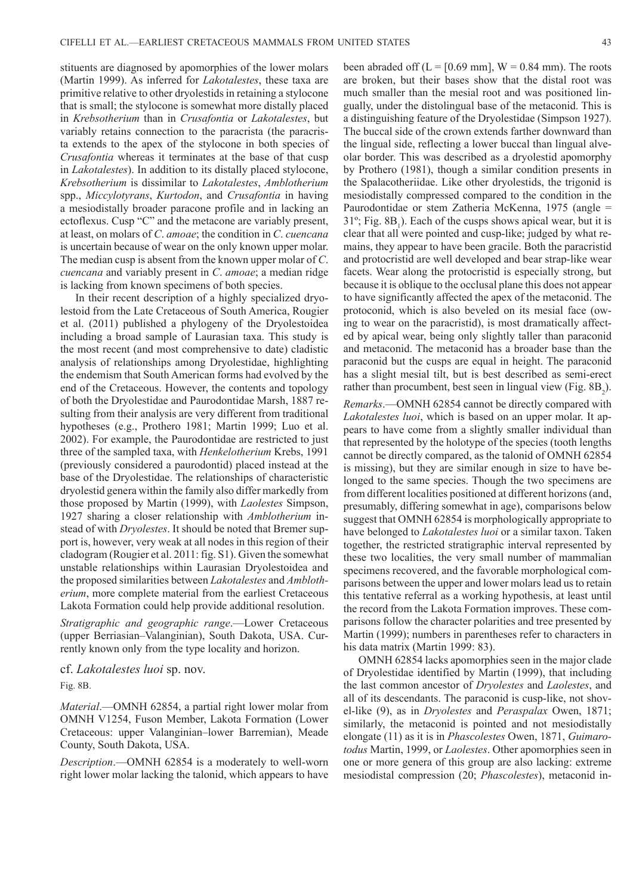stituents are diagnosed by apomorphies of the lower molars (Martin 1999). As inferred for *Lakotalestes*, these taxa are primitive relative to other dryolestids in retaining a stylocone that is small; the stylocone is somewhat more distally placed in *Krebsotherium* than in *Crusafontia* or *Lakotalestes*, but variably retains connection to the paracrista (the paracrista extends to the apex of the stylocone in both species of *Crusafontia* whereas it terminates at the base of that cusp in *Lakotalestes*). In addition to its distally placed stylocone, *Krebsotherium* is dissimilar to *Lakotalestes*, *Amblotherium* spp., *Miccylotyrans*, *Kurtodon*, and *Crusafontia* in having a mesiodistally broader paracone profile and in lacking an ectoflexus. Cusp "C" and the metacone are variably present, at least, on molars of *C*. *amoae*; the condition in *C*. *cuencana* is uncertain because of wear on the only known upper molar. The median cusp is absent from the known upper molar of *C*. *cuencana* and variably present in *C*. *amoae*; a median ridge is lacking from known specimens of both species.

In their recent description of a highly specialized dryolestoid from the Late Cretaceous of South America, Rougier et al. (2011) published a phylogeny of the Dryolestoidea including a broad sample of Laurasian taxa. This study is the most recent (and most comprehensive to date) cladistic analysis of relationships among Dryolestidae, highlighting the endemism that South American forms had evolved by the end of the Cretaceous. However, the contents and topology of both the Dryolestidae and Paurodontidae Marsh, 1887 resulting from their analysis are very different from traditional hypotheses (e.g., Prothero 1981; Martin 1999; Luo et al. 2002). For example, the Paurodontidae are restricted to just three of the sampled taxa, with *Henkelotherium* Krebs, 1991 (previously considered a paurodontid) placed instead at the base of the Dryolestidae. The relationships of characteristic dryolestid genera within the family also differ markedly from those proposed by Martin (1999), with *Laolestes* Simpson, 1927 sharing a closer relationship with *Amblotherium* instead of with *Dryolestes*. It should be noted that Bremer support is, however, very weak at all nodes in this region of their cladogram (Rougier et al. 2011: fig. S1). Given the somewhat unstable relationships within Laurasian Dryolestoidea and the proposed similarities between *Lakotalestes* and *Amblotherium*, more complete material from the earliest Cretaceous Lakota Formation could help provide additional resolution.

*Stratigraphic and geographic range*.—Lower Cretaceous (upper Berriasian–Valanginian), South Dakota, USA. Currently known only from the type locality and horizon.

cf. *Lakotalestes luoi* sp. nov.

Fig. 8B.

*Material*.—OMNH 62854, a partial right lower molar from OMNH V1254, Fuson Member, Lakota Formation (Lower Cretaceous: upper Valanginian–lower Barremian), Meade County, South Dakota, USA.

*Description*.—OMNH 62854 is a moderately to well-worn right lower molar lacking the talonid, which appears to have been abraded off  $(L = [0.69 \text{ mm}]$ ,  $W = 0.84 \text{ mm}$ ). The roots are broken, but their bases show that the distal root was much smaller than the mesial root and was positioned lingually, under the distolingual base of the metaconid. This is a distinguishing feature of the Dryolestidae (Simpson 1927). The buccal side of the crown extends farther downward than the lingual side, reflecting a lower buccal than lingual alveolar border. This was described as a dryolestid apomorphy by Prothero (1981), though a similar condition presents in the Spalacotheriidae. Like other dryolestids, the trigonid is mesiodistally compressed compared to the condition in the Paurodontidae or stem Zatheria McKenna, 1975 (angle =  $31^\circ$ ; Fig.  $8B_1$ ). Each of the cusps shows apical wear, but it is clear that all were pointed and cusp-like; judged by what remains, they appear to have been gracile. Both the paracristid and protocristid are well developed and bear strap-like wear facets. Wear along the protocristid is especially strong, but because it is oblique to the occlusal plane this does not appear to have significantly affected the apex of the metaconid. The protoconid, which is also beveled on its mesial face (owing to wear on the paracristid), is most dramatically affected by apical wear, being only slightly taller than paraconid and metaconid. The metaconid has a broader base than the paraconid but the cusps are equal in height. The paraconid has a slight mesial tilt, but is best described as semi-erect rather than procumbent, best seen in lingual view (Fig.  $8B_2$ ).

*Remarks*.—OMNH 62854 cannot be directly compared with *Lakotalestes luoi*, which is based on an upper molar. It appears to have come from a slightly smaller individual than that represented by the holotype of the species (tooth lengths cannot be directly compared, as the talonid of OMNH 62854 is missing), but they are similar enough in size to have belonged to the same species. Though the two specimens are from different localities positioned at different horizons (and, presumably, differing somewhat in age), comparisons below suggest that OMNH 62854 is morphologically appropriate to have belonged to *Lakotalestes luoi* or a similar taxon. Taken together, the restricted stratigraphic interval represented by these two localities, the very small number of mammalian specimens recovered, and the favorable morphological comparisons between the upper and lower molars lead us to retain this tentative referral as a working hypothesis, at least until the record from the Lakota Formation improves. These comparisons follow the character polarities and tree presented by Martin (1999); numbers in parentheses refer to characters in his data matrix (Martin 1999: 83).

OMNH 62854 lacks apomorphies seen in the major clade of Dryolestidae identified by Martin (1999), that including the last common ancestor of *Dryolestes* and *Laolestes*, and all of its descendants. The paraconid is cusp-like, not shovel-like (9), as in *Dryolestes* and *Peraspalax* Owen, 1871; similarly, the metaconid is pointed and not mesiodistally elongate (11) as it is in *Phascolestes* Owen, 1871, *Guimarotodus* Martin, 1999, or *Laolestes*. Other apomorphies seen in one or more genera of this group are also lacking: extreme mesiodistal compression (20; *Phascolestes*), metaconid in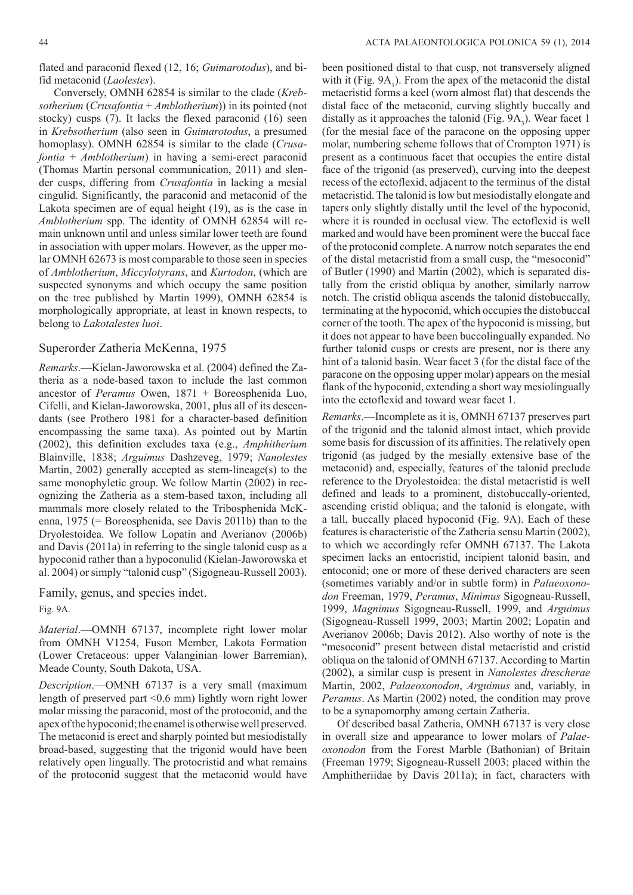flated and paraconid flexed (12, 16; *Guimarotodus*), and bifid metaconid (*Laolestes*).

Conversely, OMNH 62854 is similar to the clade (*Krebsotherium* (*Crusafontia* + *Amblotherium*)) in its pointed (not stocky) cusps (7). It lacks the flexed paraconid (16) seen in *Krebsotherium* (also seen in *Guimarotodus*, a presumed homoplasy). OMNH 62854 is similar to the clade (*Crusafontia* + *Amblotherium*) in having a semi-erect paraconid (Thomas Martin personal communication, 2011) and slender cusps, differing from *Crusafontia* in lacking a mesial cingulid. Significantly, the paraconid and metaconid of the Lakota specimen are of equal height (19), as is the case in *Amblotherium* spp. The identity of OMNH 62854 will remain unknown until and unless similar lower teeth are found in association with upper molars. However, as the upper molar OMNH 62673 is most comparable to those seen in species of *Amblotherium*, *Miccylotyrans*, and *Kurtodon*, (which are suspected synonyms and which occupy the same position on the tree published by Martin 1999), OMNH 62854 is morphologically appropriate, at least in known respects, to belong to *Lakotalestes luoi*.

#### Superorder Zatheria McKenna, 1975

*Remarks*.—Kielan-Jaworowska et al. (2004) defined the Zatheria as a node-based taxon to include the last common ancestor of *Peramus* Owen, 1871 + Boreosphenida Luo, Cifelli, and Kielan-Jaworowska, 2001, plus all of its descendants (see Prothero 1981 for a character-based definition encompassing the same taxa). As pointed out by Martin (2002), this definition excludes taxa (e.g., *Amphitherium* Blainville, 1838; *Arguimus* Dashzeveg, 1979; *Nanolestes* Martin, 2002) generally accepted as stem-lineage(s) to the same monophyletic group. We follow Martin (2002) in recognizing the Zatheria as a stem-based taxon, including all mammals more closely related to the Tribosphenida McKenna, 1975 (= Boreosphenida, see Davis 2011b) than to the Dryolestoidea. We follow Lopatin and Averianov (2006b) and Davis (2011a) in referring to the single talonid cusp as a hypoconid rather than a hypoconulid (Kielan-Jaworowska et al. 2004) or simply "talonid cusp" (Sigogneau-Russell 2003).

Family, genus, and species indet. Fig. 9A.

*Material*.—OMNH 67137, incomplete right lower molar from OMNH V1254, Fuson Member, Lakota Formation (Lower Cretaceous: upper Valanginian–lower Barremian), Meade County, South Dakota, USA.

*Description*.—OMNH 67137 is a very small (maximum length of preserved part <0.6 mm) lightly worn right lower molar missing the paraconid, most of the protoconid, and the apex of the hypoconid; the enamel is otherwise well preserved. The metaconid is erect and sharply pointed but mesiodistally broad-based, suggesting that the trigonid would have been relatively open lingually. The protocristid and what remains of the protoconid suggest that the metaconid would have

been positioned distal to that cusp, not transversely aligned with it (Fig.  $9A_1$ ). From the apex of the metaconid the distal metacristid forms a keel (worn almost flat) that descends the distal face of the metaconid, curving slightly buccally and distally as it approaches the talonid (Fig.  $9A_3$ ). Wear facet 1 (for the mesial face of the paracone on the opposing upper molar, numbering scheme follows that of Crompton 1971) is present as a continuous facet that occupies the entire distal face of the trigonid (as preserved), curving into the deepest recess of the ectoflexid, adjacent to the terminus of the distal metacristid. The talonid is low but mesiodistally elongate and tapers only slightly distally until the level of the hypoconid, where it is rounded in occlusal view. The ectoflexid is well marked and would have been prominent were the buccal face of the protoconid complete. A narrow notch separates the end of the distal metacristid from a small cusp, the "mesoconid" of Butler (1990) and Martin (2002), which is separated distally from the cristid obliqua by another, similarly narrow notch. The cristid obliqua ascends the talonid distobuccally, terminating at the hypoconid, which occupies the distobuccal corner of the tooth. The apex of the hypoconid is missing, but it does not appear to have been buccolingually expanded. No further talonid cusps or crests are present, nor is there any hint of a talonid basin. Wear facet 3 (for the distal face of the paracone on the opposing upper molar) appears on the mesial flank of the hypoconid, extending a short way mesiolingually into the ectoflexid and toward wear facet 1.

*Remarks*.—Incomplete as it is, OMNH 67137 preserves part of the trigonid and the talonid almost intact, which provide some basis for discussion of its affinities. The relatively open trigonid (as judged by the mesially extensive base of the metaconid) and, especially, features of the talonid preclude reference to the Dryolestoidea: the distal metacristid is well defined and leads to a prominent, distobuccally-oriented, ascending cristid obliqua; and the talonid is elongate, with a tall, buccally placed hypoconid (Fig. 9A). Each of these features is characteristic of the Zatheria sensu Martin (2002), to which we accordingly refer OMNH 67137. The Lakota specimen lacks an entocristid, incipient talonid basin, and entoconid; one or more of these derived characters are seen (sometimes variably and/or in subtle form) in *Palaeoxonodon* Freeman, 1979, *Peramus*, *Minimus* Sigogneau-Russell, 1999, *Magnimus* Sigogneau-Russell, 1999, and *Arguimus* (Sigogneau-Russell 1999, 2003; Martin 2002; Lopatin and Averianov 2006b; Davis 2012). Also worthy of note is the "mesoconid" present between distal metacristid and cristid obliqua on the talonid of OMNH 67137. According to Martin (2002), a similar cusp is present in *Nanolestes drescherae* Martin, 2002, *Palaeoxonodon*, *Arguimus* and, variably, in *Peramus*. As Martin (2002) noted, the condition may prove to be a synapomorphy among certain Zatheria.

Of described basal Zatheria, OMNH 67137 is very close in overall size and appearance to lower molars of *Palaeoxonodon* from the Forest Marble (Bathonian) of Britain (Freeman 1979; Sigogneau-Russell 2003; placed within the Amphitheriidae by Davis 2011a); in fact, characters with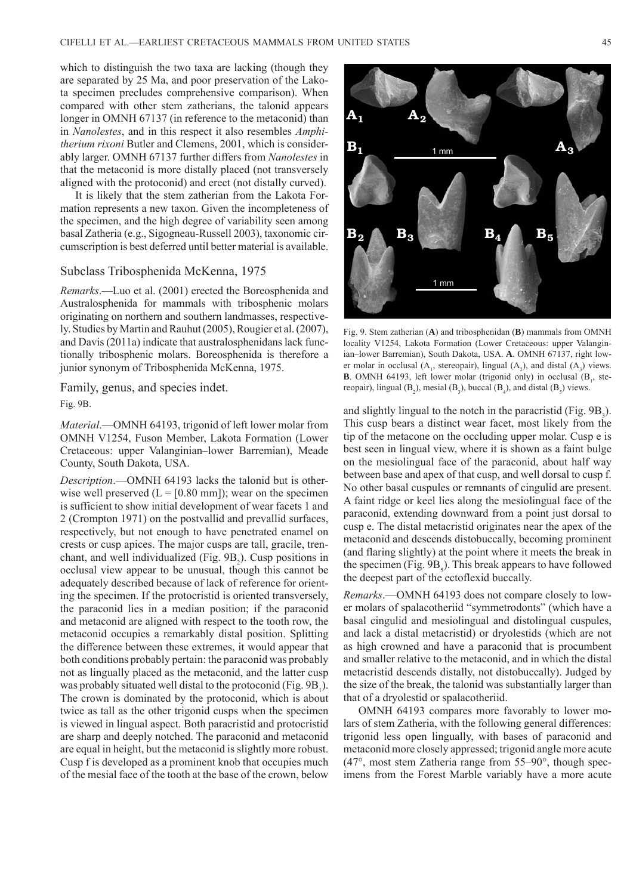which to distinguish the two taxa are lacking (though they are separated by 25 Ma, and poor preservation of the Lakota specimen precludes comprehensive comparison). When compared with other stem zatherians, the talonid appears longer in OMNH 67137 (in reference to the metaconid) than in *Nanolestes*, and in this respect it also resembles *Amphitherium rixoni* Butler and Clemens, 2001, which is considerably larger. OMNH 67137 further differs from *Nanolestes* in that the metaconid is more distally placed (not transversely aligned with the protoconid) and erect (not distally curved).

It is likely that the stem zatherian from the Lakota Formation represents a new taxon. Given the incompleteness of the specimen, and the high degree of variability seen among basal Zatheria (e.g., Sigogneau-Russell 2003), taxonomic circumscription is best deferred until better material is available.

#### Subclass Tribosphenida McKenna, 1975

*Remarks*.—Luo et al. (2001) erected the Boreosphenida and Australosphenida for mammals with tribosphenic molars originating on northern and southern landmasses, respectively. Studies by Martin and Rauhut (2005), Rougier et al. (2007), and Davis (2011a) indicate that australosphenidans lack functionally tribosphenic molars. Boreosphenida is therefore a junior synonym of Tribosphenida McKenna, 1975.

Family, genus, and species indet.

Fig. 9B.

*Material*.—OMNH 64193, trigonid of left lower molar from OMNH V1254, Fuson Member, Lakota Formation (Lower Cretaceous: upper Valanginian–lower Barremian), Meade County, South Dakota, USA.

*Description*.—OMNH 64193 lacks the talonid but is otherwise well preserved  $(L = [0.80 \text{ mm}])$ ; wear on the specimen is sufficient to show initial development of wear facets 1 and 2 (Crompton 1971) on the postvallid and prevallid surfaces, respectively, but not enough to have penetrated enamel on crests or cusp apices. The major cusps are tall, gracile, trenchant, and well individualized (Fig.  $9B_2$ ). Cusp positions in occlusal view appear to be unusual, though this cannot be adequately described because of lack of reference for orienting the specimen. If the protocristid is oriented transversely, the paraconid lies in a median position; if the paraconid and metaconid are aligned with respect to the tooth row, the metaconid occupies a remarkably distal position. Splitting the difference between these extremes, it would appear that both conditions probably pertain: the paraconid was probably not as lingually placed as the metaconid, and the latter cusp was probably situated well distal to the protoconid (Fig.  $9B_1$ ). The crown is dominated by the protoconid, which is about twice as tall as the other trigonid cusps when the specimen is viewed in lingual aspect. Both paracristid and protocristid are sharp and deeply notched. The paraconid and metaconid are equal in height, but the metaconid is slightly more robust. Cusp f is developed as a prominent knob that occupies much of the mesial face of the tooth at the base of the crown, below



Fig. 9. Stem zatherian (**A**) and tribosphenidan (**B**) mammals from OMNH locality V1254, Lakota Formation (Lower Cretaceous: upper Valanginian–lower Barremian), South Dakota, USA. **A**. OMNH 67137, right lower molar in occlusal  $(A_1,$  stereopair), lingual  $(A_2)$ , and distal  $(A_3)$  views. **B**. OMNH 64193, left lower molar (trigonid only) in occlusal  $(B_1,$  stereopair), lingual  $(B_2)$ , mesial  $(B_3)$ , buccal  $(B_4)$ , and distal  $(B_5)$  views.

and slightly lingual to the notch in the paracristid (Fig.  $9B_3$ ). This cusp bears a distinct wear facet, most likely from the tip of the metacone on the occluding upper molar. Cusp e is best seen in lingual view, where it is shown as a faint bulge on the mesiolingual face of the paraconid, about half way between base and apex of that cusp, and well dorsal to cusp f. No other basal cuspules or remnants of cingulid are present. A faint ridge or keel lies along the mesiolingual face of the paraconid, extending downward from a point just dorsal to cusp e. The distal metacristid originates near the apex of the metaconid and descends distobuccally, becoming prominent (and flaring slightly) at the point where it meets the break in the specimen (Fig.  $9B_5$ ). This break appears to have followed the deepest part of the ectoflexid buccally.

*Remarks*.—OMNH 64193 does not compare closely to lower molars of spalacotheriid "symmetrodonts" (which have a basal cingulid and mesiolingual and distolingual cuspules, and lack a distal metacristid) or dryolestids (which are not as high crowned and have a paraconid that is procumbent and smaller relative to the metaconid, and in which the distal metacristid descends distally, not distobuccally). Judged by the size of the break, the talonid was substantially larger than that of a dryolestid or spalacotheriid.

OMNH 64193 compares more favorably to lower molars of stem Zatheria, with the following general differences: trigonid less open lingually, with bases of paraconid and metaconid more closely appressed; trigonid angle more acute (47°, most stem Zatheria range from 55–90°, though specimens from the Forest Marble variably have a more acute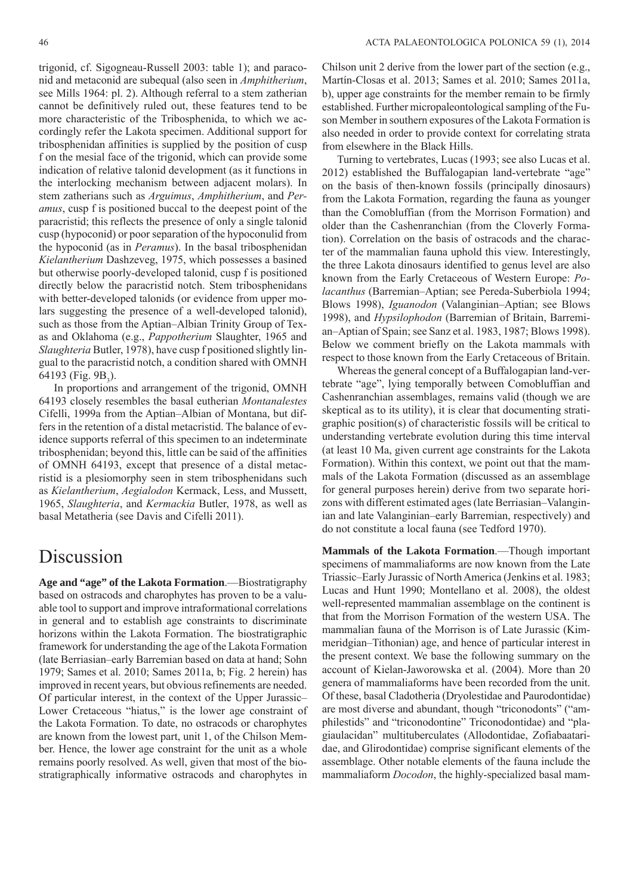trigonid, cf. Sigogneau-Russell 2003: table 1); and paraconid and metaconid are subequal (also seen in *Amphitherium*, see Mills 1964: pl. 2). Although referral to a stem zatherian cannot be definitively ruled out, these features tend to be more characteristic of the Tribosphenida, to which we accordingly refer the Lakota specimen. Additional support for tribosphenidan affinities is supplied by the position of cusp f on the mesial face of the trigonid, which can provide some indication of relative talonid development (as it functions in the interlocking mechanism between adjacent molars). In stem zatherians such as *Arguimus*, *Amphitherium*, and *Peramus*, cusp f is positioned buccal to the deepest point of the paracristid; this reflects the presence of only a single talonid cusp (hypoconid) or poor separation of the hypoconulid from the hypoconid (as in *Peramus*). In the basal tribosphenidan *Kielantherium* Dashzeveg, 1975, which possesses a basined but otherwise poorly-developed talonid, cusp f is positioned directly below the paracristid notch. Stem tribosphenidans with better-developed talonids (or evidence from upper molars suggesting the presence of a well-developed talonid), such as those from the Aptian–Albian Trinity Group of Texas and Oklahoma (e.g., *Pappotherium* Slaughter, 1965 and *Slaughteria* Butler, 1978), have cusp f positioned slightly lingual to the paracristid notch, a condition shared with OMNH 64193 (Fig.  $9B_3$ ).

In proportions and arrangement of the trigonid, OMNH 64193 closely resembles the basal eutherian *Montanalestes* Cifelli, 1999a from the Aptian–Albian of Montana, but differs in the retention of a distal metacristid. The balance of evidence supports referral of this specimen to an indeterminate tribosphenidan; beyond this, little can be said of the affinities of OMNH 64193, except that presence of a distal metacristid is a plesiomorphy seen in stem tribosphenidans such as *Kielantherium*, *Aegialodon* Kermack, Less, and Mussett, 1965, *Slaughteria*, and *Kermackia* Butler, 1978, as well as basal Metatheria (see Davis and Cifelli 2011).

## Discussion

**Age and "age" of the Lakota Formation**.—Biostratigraphy based on ostracods and charophytes has proven to be a valuable tool to support and improve intraformational correlations in general and to establish age constraints to discriminate horizons within the Lakota Formation. The biostratigraphic framework for understanding the age of the Lakota Formation (late Berriasian–early Barremian based on data at hand; Sohn 1979; Sames et al. 2010; Sames 2011a, b; Fig. 2 herein) has improved in recent years, but obvious refinements are needed. Of particular interest, in the context of the Upper Jurassic– Lower Cretaceous "hiatus," is the lower age constraint of the Lakota Formation. To date, no ostracods or charophytes are known from the lowest part, unit 1, of the Chilson Member. Hence, the lower age constraint for the unit as a whole remains poorly resolved. As well, given that most of the biostratigraphically informative ostracods and charophytes in

Chilson unit 2 derive from the lower part of the section (e.g., Martín-Closas et al. 2013; Sames et al. 2010; Sames 2011a, b), upper age constraints for the member remain to be firmly established. Further micropaleontological sampling of the Fuson Member in southern exposures of the Lakota Formation is also needed in order to provide context for correlating strata from elsewhere in the Black Hills.

Turning to vertebrates, Lucas (1993; see also Lucas et al. 2012) established the Buffalogapian land-vertebrate "age" on the basis of then-known fossils (principally dinosaurs) from the Lakota Formation, regarding the fauna as younger than the Comobluffian (from the Morrison Formation) and older than the Cashenranchian (from the Cloverly Formation). Correlation on the basis of ostracods and the character of the mammalian fauna uphold this view. Interestingly, the three Lakota dinosaurs identified to genus level are also known from the Early Cretaceous of Western Europe: *Polacanthus* (Barremian–Aptian; see Pereda-Suberbiola 1994; Blows 1998), *Iguanodon* (Valanginian–Aptian; see Blows 1998), and *Hypsilophodon* (Barremian of Britain, Barremian–Aptian of Spain; see Sanz et al. 1983, 1987; Blows 1998). Below we comment briefly on the Lakota mammals with respect to those known from the Early Cretaceous of Britain.

Whereas the general concept of a Buffalogapian land-vertebrate "age", lying temporally between Comobluffian and Cashenranchian assemblages, remains valid (though we are skeptical as to its utility), it is clear that documenting stratigraphic position(s) of characteristic fossils will be critical to understanding vertebrate evolution during this time interval (at least 10 Ma, given current age constraints for the Lakota Formation). Within this context, we point out that the mammals of the Lakota Formation (discussed as an assemblage for general purposes herein) derive from two separate horizons with different estimated ages (late Berriasian–Valanginian and late Valanginian–early Barremian, respectively) and do not constitute a local fauna (see Tedford 1970).

**Mammals of the Lakota Formation**.—Though important specimens of mammaliaforms are now known from the Late Triassic–Early Jurassic of North America (Jenkins et al. 1983; Lucas and Hunt 1990; Montellano et al. 2008), the oldest well-represented mammalian assemblage on the continent is that from the Morrison Formation of the western USA. The mammalian fauna of the Morrison is of Late Jurassic (Kimmeridgian–Tithonian) age, and hence of particular interest in the present context. We base the following summary on the account of Kielan-Jaworowska et al. (2004). More than 20 genera of mammaliaforms have been recorded from the unit. Of these, basal Cladotheria (Dryolestidae and Paurodontidae) are most diverse and abundant, though "triconodonts" ("amphilestids" and "triconodontine" Triconodontidae) and "plagiaulacidan" multituberculates (Allodontidae, Zofiabaataridae, and Glirodontidae) comprise significant elements of the assemblage. Other notable elements of the fauna include the mammaliaform *Docodon*, the highly-specialized basal mam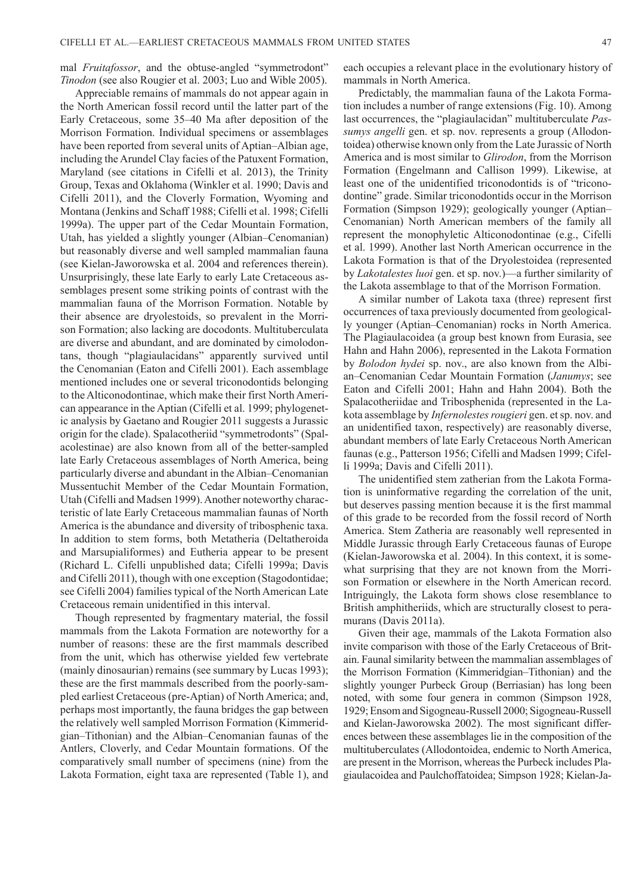mal *Fruitafossor*, and the obtuse-angled "symmetrodont" *Tinodon* (see also Rougier et al. 2003; Luo and Wible 2005).

Appreciable remains of mammals do not appear again in the North American fossil record until the latter part of the Early Cretaceous, some 35–40 Ma after deposition of the Morrison Formation. Individual specimens or assemblages have been reported from several units of Aptian–Albian age, including the Arundel Clay facies of the Patuxent Formation, Maryland (see citations in Cifelli et al. 2013), the Trinity Group, Texas and Oklahoma (Winkler et al. 1990; Davis and Cifelli 2011), and the Cloverly Formation, Wyoming and Montana (Jenkins and Schaff 1988; Cifelli et al. 1998; Cifelli 1999a). The upper part of the Cedar Mountain Formation, Utah, has yielded a slightly younger (Albian–Cenomanian) but reasonably diverse and well sampled mammalian fauna (see Kielan-Jaworowska et al. 2004 and references therein). Unsurprisingly, these late Early to early Late Cretaceous assemblages present some striking points of contrast with the mammalian fauna of the Morrison Formation. Notable by their absence are dryolestoids, so prevalent in the Morrison Formation; also lacking are docodonts. Multituberculata are diverse and abundant, and are dominated by cimolodontans, though "plagiaulacidans" apparently survived until the Cenomanian (Eaton and Cifelli 2001). Each assemblage mentioned includes one or several triconodontids belonging to the Alticonodontinae, which make their first North American appearance in the Aptian (Cifelli et al. 1999; phylogenetic analysis by Gaetano and Rougier 2011 suggests a Jurassic origin for the clade). Spalacotheriid "symmetrodonts" (Spalacolestinae) are also known from all of the better-sampled late Early Cretaceous assemblages of North America, being particularly diverse and abundant in the Albian–Cenomanian Mussentuchit Member of the Cedar Mountain Formation, Utah (Cifelli and Madsen 1999). Another noteworthy characteristic of late Early Cretaceous mammalian faunas of North America is the abundance and diversity of tribosphenic taxa. In addition to stem forms, both Metatheria (Deltatheroida and Marsupialiformes) and Eutheria appear to be present (Richard L. Cifelli unpublished data; Cifelli 1999a; Davis and Cifelli 2011), though with one exception (Stagodontidae; see Cifelli 2004) families typical of the North American Late Cretaceous remain unidentified in this interval.

Though represented by fragmentary material, the fossil mammals from the Lakota Formation are noteworthy for a number of reasons: these are the first mammals described from the unit, which has otherwise yielded few vertebrate (mainly dinosaurian) remains (see summary by Lucas 1993); these are the first mammals described from the poorly-sampled earliest Cretaceous (pre-Aptian) of North America; and, perhaps most importantly, the fauna bridges the gap between the relatively well sampled Morrison Formation (Kimmeridgian–Tithonian) and the Albian–Cenomanian faunas of the Antlers, Cloverly, and Cedar Mountain formations. Of the comparatively small number of specimens (nine) from the Lakota Formation, eight taxa are represented (Table 1), and each occupies a relevant place in the evolutionary history of mammals in North America.

Predictably, the mammalian fauna of the Lakota Formation includes a number of range extensions (Fig. 10). Among last occurrences, the "plagiaulacidan" multituberculate *Passumys angelli* gen. et sp. nov. represents a group (Allodontoidea) otherwise known only from the Late Jurassic of North America and is most similar to *Glirodon*, from the Morrison Formation (Engelmann and Callison 1999). Likewise, at least one of the unidentified triconodontids is of "triconodontine" grade. Similar triconodontids occur in the Morrison Formation (Simpson 1929); geologically younger (Aptian– Cenomanian) North American members of the family all represent the monophyletic Alticonodontinae (e.g., Cifelli et al. 1999). Another last North American occurrence in the Lakota Formation is that of the Dryolestoidea (represented by *Lakotalestes luoi* gen. et sp. nov.)—a further similarity of the Lakota assemblage to that of the Morrison Formation.

A similar number of Lakota taxa (three) represent first occurrences of taxa previously documented from geologically younger (Aptian–Cenomanian) rocks in North America. The Plagiaulacoidea (a group best known from Eurasia, see Hahn and Hahn 2006), represented in the Lakota Formation by *Bolodon hydei* sp. nov., are also known from the Albian–Cenomanian Cedar Mountain Formation (*Janumys*; see Eaton and Cifelli 2001; Hahn and Hahn 2004). Both the Spalacotheriidae and Tribosphenida (represented in the Lakota assemblage by *Infernolestes rougieri* gen. et sp. nov. and an unidentified taxon, respectively) are reasonably diverse, abundant members of late Early Cretaceous North American faunas (e.g., Patterson 1956; Cifelli and Madsen 1999; Cifelli 1999a; Davis and Cifelli 2011).

The unidentified stem zatherian from the Lakota Formation is uninformative regarding the correlation of the unit, but deserves passing mention because it is the first mammal of this grade to be recorded from the fossil record of North America. Stem Zatheria are reasonably well represented in Middle Jurassic through Early Cretaceous faunas of Europe (Kielan-Jaworowska et al. 2004). In this context, it is somewhat surprising that they are not known from the Morrison Formation or elsewhere in the North American record. Intriguingly, the Lakota form shows close resemblance to British amphitheriids, which are structurally closest to peramurans (Davis 2011a).

Given their age, mammals of the Lakota Formation also invite comparison with those of the Early Cretaceous of Britain. Faunal similarity between the mammalian assemblages of the Morrison Formation (Kimmeridgian–Tithonian) and the slightly younger Purbeck Group (Berriasian) has long been noted, with some four genera in common (Simpson 1928, 1929; Ensom and Sigogneau-Russell 2000; Sigogneau-Russell and Kielan-Jaworowska 2002). The most significant differences between these assemblages lie in the composition of the multituberculates (Allodontoidea, endemic to North America, are present in the Morrison, whereas the Purbeck includes Plagiaulacoidea and Paulchoffatoidea; Simpson 1928; Kielan-Ja-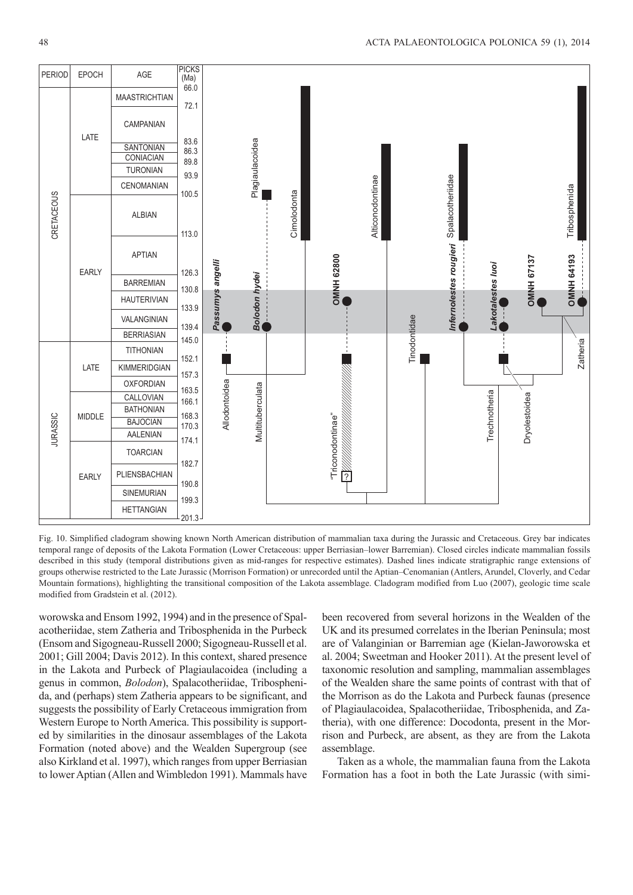

Fig. 10. Simplified cladogram showing known North American distribution of mammalian taxa during the Jurassic and Cretaceous. Grey bar indicates temporal range of deposits of the Lakota Formation (Lower Cretaceous: upper Berriasian–lower Barremian). Closed circles indicate mammalian fossils described in this study (temporal distributions given as mid-ranges for respective estimates). Dashed lines indicate stratigraphic range extensions of groups otherwise restricted to the Late Jurassic (Morrison Formation) or unrecorded until the Aptian–Cenomanian (Antlers, Arundel, Cloverly, and Cedar Mountain formations), highlighting the transitional composition of the Lakota assemblage. Cladogram modified from Luo (2007), geologic time scale modified from Gradstein et al. (2012).

worowska and Ensom 1992, 1994) and in the presence of Spalacotheriidae, stem Zatheria and Tribosphenida in the Purbeck (Ensom and Sigogneau-Russell 2000; Sigogneau-Russell et al. 2001; Gill 2004; Davis 2012). In this context, shared presence in the Lakota and Purbeck of Plagiaulacoidea (including a genus in common, *Bolodon*), Spalacotheriidae, Tribosphenida, and (perhaps) stem Zatheria appears to be significant, and suggests the possibility of Early Cretaceous immigration from Western Europe to North America. This possibility is supported by similarities in the dinosaur assemblages of the Lakota Formation (noted above) and the Wealden Supergroup (see also Kirkland et al. 1997), which ranges from upper Berriasian to lower Aptian (Allen and Wimbledon 1991). Mammals have been recovered from several horizons in the Wealden of the UK and its presumed correlates in the Iberian Peninsula; most are of Valanginian or Barremian age (Kielan-Jaworowska et al. 2004; Sweetman and Hooker 2011). At the present level of taxonomic resolution and sampling, mammalian assemblages of the Wealden share the same points of contrast with that of the Morrison as do the Lakota and Purbeck faunas (presence of Plagiaulacoidea, Spalacotheriidae, Tribosphenida, and Zatheria), with one difference: Docodonta, present in the Morrison and Purbeck, are absent, as they are from the Lakota assemblage.

Taken as a whole, the mammalian fauna from the Lakota Formation has a foot in both the Late Jurassic (with simi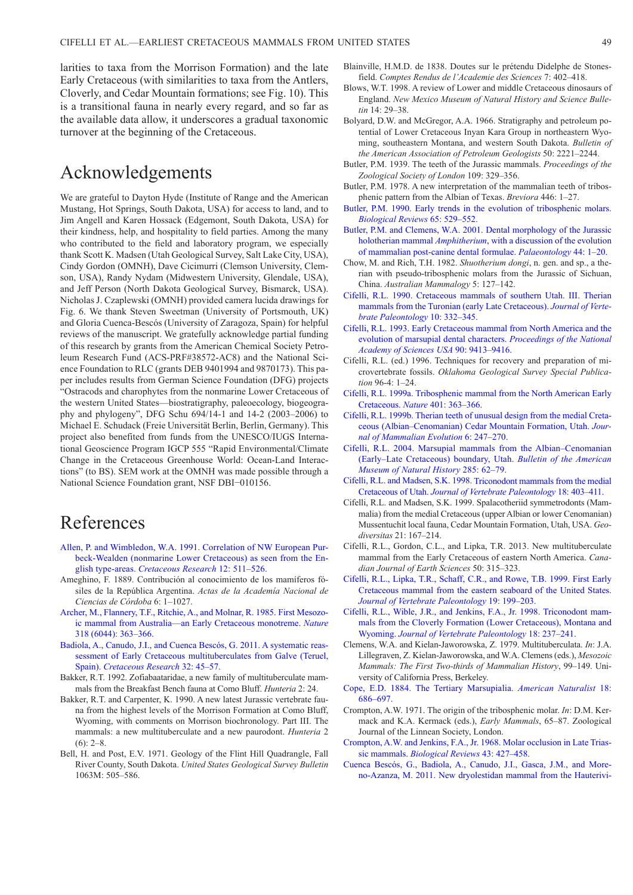larities to taxa from the Morrison Formation) and the late Early Cretaceous (with similarities to taxa from the Antlers, Cloverly, and Cedar Mountain formations; see Fig. 10). This is a transitional fauna in nearly every regard, and so far as the available data allow, it underscores a gradual taxonomic turnover at the beginning of the Cretaceous.

# Acknowledgements

We are grateful to Dayton Hyde (Institute of Range and the American Mustang, Hot Springs, South Dakota, USA) for access to land, and to Jim Angell and Karen Hossack (Edgemont, South Dakota, USA) for their kindness, help, and hospitality to field parties. Among the many who contributed to the field and laboratory program, we especially thank Scott K. Madsen (Utah Geological Survey, Salt Lake City, USA), Cindy Gordon (OMNH), Dave Cicimurri (Clemson University, Clemson, USA), Randy Nydam (Midwestern University, Glendale, USA), and Jeff Person (North Dakota Geological Survey, Bismarck, USA). Nicholas J. Czaplewski (OMNH) provided camera lucida drawings for Fig. 6. We thank Steven Sweetman (University of Portsmouth, UK) and Gloria Cuenca-Bescós (University of Zaragoza, Spain) for helpful reviews of the manuscript. We gratefully acknowledge partial funding of this research by grants from the American Chemical Society Petroleum Research Fund (ACS-PRF#38572-AC8) and the National Science Foundation to RLC (grants DEB 9401994 and 9870173). This paper includes results from German Science Foundation (DFG) projects "Ostracods and charophytes from the nonmarine Lower Cretaceous of the western United States—biostratigraphy, paleoecology, biogeography and phylogeny", DFG Schu 694/14-1 and 14-2 (2003–2006) to Michael E. Schudack (Freie Universität Berlin, Berlin, Germany). This project also benefited from funds from the UNESCO/IUGS International Geoscience Program IGCP 555 "Rapid Environmental/Climate Change in the Cretaceous Greenhouse World: Ocean-Land Interactions" (to BS). SEM work at the OMNH was made possible through a National Science Foundation grant, NSF DBI−010156.

# References

- [Allen, P. and Wimbledon, W.A. 1991. Correlation of NW European Pur](http://dx.doi.org/10.1016%2F0195-6671%2891%2990005-W)beck-Wealden (nonmarine Lower Cretaceous) as seen from the English type-areas. *Cretaceous Research* 12: 511–526.
- Ameghino, F. 1889. Contribución al conocimiento de los mamíferos fósiles de la República Argentina. *Actas de la Academía Nacional de Ciencias de Córdoba* 6: 1–1027.
- [Archer, M., Flannery, T.F., Ritchie, A., and Molnar, R. 1985. First Mesozo](http://dx.doi.org/10.1038%2F318363a0)ic mammal from Australia—an Early Cretaceous monotreme. *Nature* 318 (6044): 363–366.
- [Badiola, A., Canudo, J.I., and Cuenca Bescós, G. 2011. A systematic reas](http://dx.doi.org/10.1016%2Fj.cretres.2010.10.003)sessment of Early Cretaceous multituberculates from Galve (Teruel, Spain). *Cretaceous Research* 32: 45–57.
- Bakker, R.T. 1992. Zofiabaataridae, a new family of multituberculate mammals from the Breakfast Bench fauna at Como Bluff. *Hunteria* 2: 24.
- Bakker, R.T. and Carpenter, K. 1990. A new latest Jurassic vertebrate fauna from the highest levels of the Morrison Formation at Como Bluff, Wyoming, with comments on Morrison biochronology. Part III. The mammals: a new multituberculate and a new paurodont. *Hunteria* 2  $(6)$ : 2–8.
- Bell, H. and Post, E.V. 1971. Geology of the Flint Hill Quadrangle, Fall River County, South Dakota. *United States Geological Survey Bulletin* 1063M: 505–586.
- Blainville, H.M.D. de 1838. Doutes sur le prétendu Didelphe de Stonesfield. *Comptes Rendus de l'Academie des Sciences* 7: 402–418.
- Blows, W.T. 1998. A review of Lower and middle Cretaceous dinosaurs of England. *New Mexico Museum of Natural History and Science Bulletin* 14: 29–38.
- Bolyard, D.W. and McGregor, A.A. 1966. Stratigraphy and petroleum potential of Lower Cretaceous Inyan Kara Group in northeastern Wyoming, southeastern Montana, and western South Dakota. *Bulletin of the American Association of Petroleum Geologists* 50: 2221–2244.
- Butler, P.M. 1939. The teeth of the Jurassic mammals. *Proceedings of the Zoological Society of London* 109: 329–356.
- Butler, P.M. 1978. A new interpretation of the mammalian teeth of tribosphenic pattern from the Albian of Texas. *Breviora* 446: 1–27.
- [Butler, P.M. 1990. Early trends in the evolution of tribosphenic molars.](http://dx.doi.org/10.1111%2Fj.1469-185X.1990.tb01237.x) *Biological Reviews* 65: 529–552.
- [Butler, P.M. and Clemens, W.A. 2001. Dental morphology of the Jurassic](http://dx.doi.org/10.1111%2F1475-4983.00166) holotherian mammal *Amphitherium*, with a discussion of the evolution of mammalian post-canine dental formulae. *Palaeontology* 44: 1–20.
- Chow, M. and Rich, T.H. 1982. *Shuotherium dongi*, n. gen. and sp., a therian with pseudo-tribosphenic molars from the Jurassic of Sichuan, China. *Australian Mammalogy* 5: 127–142.
- [Cifelli, R.L. 1990. Cretaceous mammals of southern Utah. III. Therian](http://dx.doi.org/10.1080%2F02724634.1990.10011818) mammals from the Turonian (early Late Cretaceous). *Journal of Vertebrate Paleontology* 10: 332–345.
- [Cifelli, R.L. 1993. Early Cretaceous mammal from North America and the](http://dx.doi.org/10.1073%2Fpnas.90.20.9413) evolution of marsupial dental characters. *Proceedings of the National Academy of Sciences USA* 90: 9413–9416.
- Cifelli, R.L. (ed.) 1996. Techniques for recovery and preparation of microvertebrate fossils. *Oklahoma Geological Survey Special Publication* 96-4: 1–24.
- [Cifelli, R.L. 1999a. Tribosphenic mammal from the North American Early](http://dx.doi.org/10.1038%2F43860) Cretaceous. *Nature* 401: 363–366.
- [Cifelli, R.L. 1999b. Therian teeth of unusual design from the medial Creta](http://dx.doi.org/10.1023%2FA%3A1020513707960)ceous (Albian–Cenomanian) Cedar Mountain Formation, Utah. *Journal of Mammalian Evolution* 6: 247–270.
- [Cifelli, R.L. 2004. Marsupial mammals from the Albian–Cenomanian](http://dx.doi.org/10.1206%2F0003-0090%282004%29285%3C0062%3AC%3E2.0.CO%3B2) (Early–Late Cretaceous) boundary, Utah. *Bulletin of the American Museum of Natural History* 285: 62–79.
- [Cifelli, R.L. and Madsen, S.K. 1998. Triconodont mammals from the medial](http://dx.doi.org/10.1080%2F02724634.1998.10011068) Cretaceous of Utah. *Journal of Vertebrate Paleontology* 18: 403–411.
- Cifelli, R.L. and Madsen, S.K. 1999. Spalacotheriid symmetrodonts (Mammalia) from the medial Cretaceous (upper Albian or lower Cenomanian) Mussentuchit local fauna, Cedar Mountain Formation, Utah, USA. *Geodiversitas* 21: 167–214.
- Cifelli, R.L., Gordon, C.L., and Lipka, T.R. 2013. New multituberculate mammal from the Early Cretaceous of eastern North America. *Canadian Journal of Earth Sciences* 50: 315–323.
- [Cifelli, R.L., Lipka, T.R., Schaff, C.R., and Rowe, T.B. 1999. First Early](http://dx.doi.org/10.1080%2F02724634.1999.10011134) Cretaceous mammal from the eastern seaboard of the United States. *Journal of Vertebrate Paleontology* 19: 199–203.
- [Cifelli, R.L., Wible, J.R., and Jenkins, F.A., Jr. 1998. Triconodont mam](http://dx.doi.org/10.1080%2F02724634.1998.10011048)mals from the Cloverly Formation (Lower Cretaceous), Montana and Wyoming. *Journal of Vertebrate Paleontology* 18: 237–241.
- Clemens, W.A. and Kielan-Jaworowska, Z. 1979. Multituberculata. *In*: J.A. Lillegraven, Z. Kielan-Jaworowska, and W.A. Clemens (eds.), *Mesozoic Mammals: The First Two-thirds of Mammalian History*, 99–149. University of California Press, Berkeley.
- [Cope, E.D. 1884. The Tertiary Marsupialia.](http://dx.doi.org/10.1086%2F273711) *American Naturalist* 18: 686–697.
- Crompton, A.W. 1971. The origin of the tribosphenic molar. *In*: D.M. Kermack and K.A. Kermack (eds.), *Early Mammals*, 65–87. Zoological Journal of the Linnean Society, London.
- [Crompton, A.W. and Jenkins, F.A., Jr. 1968. Molar occlusion in Late Trias](http://dx.doi.org/10.1111%2Fj.1469-185X.1968.tb00966.x)sic mammals. *Biological Reviews* 43: 427–458.
- [Cuenca Bescós, G., Badiola, A., Canudo, J.I., Gasca, J.M., and More](http://dx.doi.org/10.4202%2Fapp.2009.0157)no-Azanza, M. 2011. New dryolestidan mammal from the Hauterivi-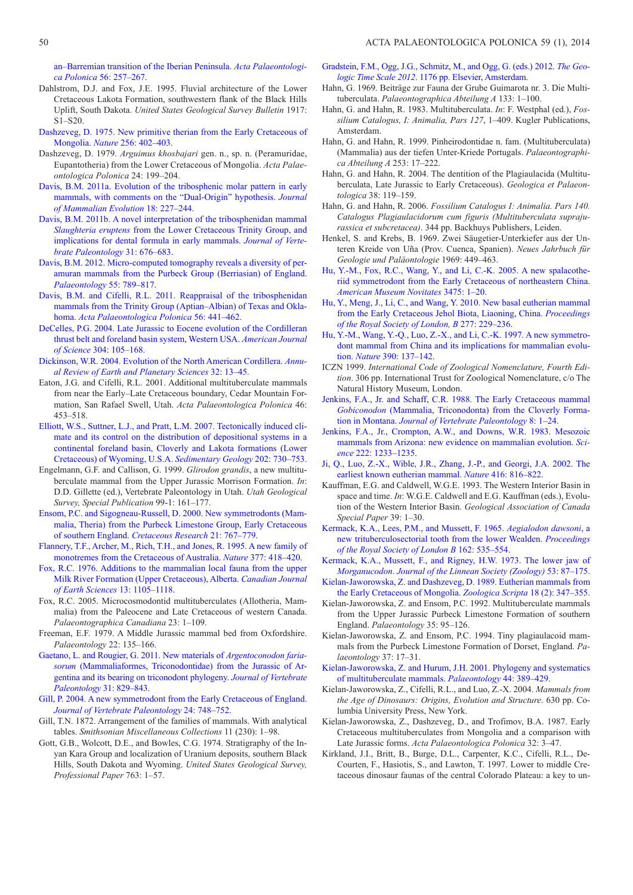an–Barremian transition of the Iberian Peninsula. *Acta Palaeontologica Polonica* 56: 257–267.

- Dahlstrom, D.J. and Fox, J.E. 1995. Fluvial architecture of the Lower Cretaceous Lakota Formation, southwestern flank of the Black Hills Uplift, South Dakota. *United States Geological Survey Bulletin* 1917: S1–S20.
- [Dashzeveg, D. 1975. New primitive therian from the Early Cretaceous of](http://dx.doi.org/10.1038%2F256402a0)  Mongolia. *Nature* 256: 402–403.
- Dashzeveg, D. 1979. *Arguimus khosbajari* gen. n., sp. n. (Peramuridae, Eupanto theria) from the Lower Cretaceous of Mongolia. *Acta Palaeontologica Polonica* 24: 199–204.
- [Davis, B.M. 2011a. Evolution of the tribosphenic molar pattern in early](http://dx.doi.org/10.1007%2Fs10914-011-9168-8)  mammals, with comments on the "Dual-Origin" hypothesis. *Journal of Mammalian Evolution* 18: 227–244.
- [Davis, B.M. 2011b. A novel interpretation of the tribosphenidan mammal](http://dx.doi.org/10.1080%2F02724634.2011.558149)  *Slaughteria eruptens* from the Lower Cretaceous Trinity Group, and implications for dental formula in early mammals. *Journal of Vertebrate Paleontology* 31: 676–683.
- [Davis, B.M. 2012. Micro-computed tomography reveals a diversity of per](http://dx.doi.org/10.1111%2Fj.1475-4983.2012.01161.x)amuran mammals from the Purbeck Group (Berriasian) of England. *Palaeontology* 55: 789–817.
- [Davis, B.M. and Cifelli, R.L. 2011. Reappraisal of the tribosphenidan](http://dx.doi.org/10.4202%2Fapp.2011.0037)  mammals from the Trinity Group (Aptian–Albian) of Texas and Oklahoma. *Acta Palaeontologica Polonica* 56: 441–462.
- [DeCelles, P.G. 2004. Late Jurassic to Eocene evolution of the Cordilleran](http://dx.doi.org/10.2475%2Fajs.304.2.105)  thrust belt and foreland basin system, Western USA. *American Journal of Science* 304: 105–168.
- [Dickinson, W.R. 2004. Evolution of the North American Cordillera.](http://dx.doi.org/10.1146%2Fannurev.earth.32.101802.120257) *Annual Review of Earth and Planetary Sciences* 32: 13–45.
- Eaton, J.G. and Cifelli, R.L. 2001. Additional multituberculate mammals from near the Early–Late Cretaceous boundary, Cedar Mountain Formation, San Rafael Swell, Utah. *Acta Palaeontologica Polonica* 46: 453–518.
- [Elliott, W.S., Suttner, L.J., and Pratt, L.M. 2007. Tectonically induced cli](http://dx.doi.org/10.1016%2Fj.sedgeo.2007.09.001)mate and its control on the distribution of depositional systems in a continental foreland basin, Cloverly and Lakota formations (Lower Cretaceous) of Wyoming, U.S.A. *Sedimentary Geology* 202: 730–753.
- Engelmann, G.F. and Callison, G. 1999. *Glirodon grandis*, a new multituberculate mammal from the Upper Jurassic Morrison Formation. *In*: D.D. Gillette (ed.), Vertebrate Paleontology in Utah. *Utah Geological Survey, Special Publication* 99-1: 161–177.
- [Ensom, P.C. and Sigogneau-Russell, D. 2000. New symmetrodonts \(Mam](http://dx.doi.org/10.1006%2Fcres.2000.0227)malia, Theria) from the Purbeck Limestone Group, Early Cretaceous of southern England. *Cretaceous Research* 21: 767–779.
- [Flannery, T.F., Archer, M., Rich, T.H., and Jones, R. 1995. A new family of](http://dx.doi.org/10.1038%2F377418a0)  monotremes from the Cretaceous of Australia. *Nature* 377: 418–420.
- [Fox, R.C. 1976. Additions to the mammalian local fauna from the upper](http://dx.doi.org/10.1139%2Fe76-113)  Milk River Formation (Upper Cretaceous), Alberta. *Canadian Journal of Earth Sciences* 13: 1105–1118.
- Fox, R.C. 2005. Microcosmodontid multituberculates (Allotheria, Mammalia) from the Paleocene and Late Cretaceous of western Canada. *Palaeontographica Canadiana* 23: 1–109.
- Freeman, E.F. 1979. A Middle Jurassic mammal bed from Oxfordshire. *Palaeontology* 22: 135–166.
- Gaetano, L. and Rougier, G. 2011. New materials of *Argentoconodon fariasorum* [\(Mammaliaformes, Triconodontidae\) from the Jurassic of Ar](http://dx.doi.org/10.1080%2F02724634.2011.589877)gentina and its bearing on triconodont phylogeny. *Journal of Vertebrate Paleontology* 31: 829–843.
- [Gill, P. 2004. A new symmetrodont from the Early Cretaceous of England.](http://dx.doi.org/10.1671%2F0272-4634%282004%29024%5B0748%3AANSFTE%5D2.0.CO%3B2)  *Journal of Vertebrate Paleontology* 24: 748–752.
- Gill, T.N. 1872. Arrangement of the families of mammals. With analytical tables. *Smithsonian Miscellaneous Collections* 11 (230): 1–98.
- Gott, G.B., Wolcott, D.E., and Bowles, C.G. 1974. Stratigraphy of the Inyan Kara Group and localization of Uranium deposits, southern Black Hills, South Dakota and Wyoming. *United States Geological Survey, Professional Paper* 763: 1–57.
- [Gradstein, F.M., Ogg, J.G., Schmitz, M., and Ogg, G. \(eds.\) 2012.](http://dx.doi.org/10.1017%2FCBO9780511536045) *The Geologic Time Scale 2012*. 1176 pp. Elsevier, Amsterdam.
- Hahn, G. 1969. Beiträge zur Fauna der Grube Guimarota nr. 3. Die Multituberculata. *Palaeontographica Abteilung A* 133: 1–100.
- Hahn, G. and Hahn, R. 1983. Multituberculata. *In*: F. Westphal (ed.), *Fossilium Catalogus, I: Animalia, Pars 127*, 1–409. Kugler Publications, Amsterdam.
- Hahn, G. and Hahn, R. 1999. Pinheirodontidae n. fam. (Multituberculata) (Mammalia) aus der tiefen Unter-Kriede Portugals. *Palaeontographica Abteilung A* 253: 17–222.
- Hahn, G. and Hahn, R. 2004. The dentition of the Plagiaulacida (Multituberculata, Late Jurassic to Early Cretaceous). *Geologica et Palaeontologica* 38: 119–159.
- Hahn, G. and Hahn, R. 2006. *Fossilium Catalogus I: Animalia. Pars 140. Catalogus Plagiaulacidorum cum figuris (Multituberculata suprajurassica et subcretacea)*. 344 pp. Backhuys Publishers, Leiden.
- Henkel, S. and Krebs, B. 1969. Zwei Säugetier-Unterkiefer aus der Unteren Kreide von Uña (Prov. Cuenca, Spanien). *Neues Jahrbuch für Geologie und Paläontologie* 1969: 449–463.
- [Hu, Y.-M., Fox, R.C., Wang, Y., and Li, C.-K. 2005. A new spalacothe](http://dx.doi.org/10.1206%2F0003-0082%282005%29475%5B0001%3AANSSFT%5D2.0.CO%3B2)riid symmetrodont from the Early Cretaceous of northeastern China. *American Museum Novitates* 3475: 1–20.
- [Hu, Y., Meng, J., Li, C., and Wang, Y. 2010. New basal eutherian mammal](http://dx.doi.org/10.1098%2Frspb.2009.0203) from the Early Cretaceous Jehol Biota, Liaoning, China. *Proceedings of the Royal Society of London, B* 277: 229–236.
- [Hu, Y.-M., Wang, Y.-Q., Luo, Z.-X., and Li, C.-K. 1997. A new symmetro](http://dx.doi.org/10.1038%2F36505)dont mammal from China and its implications for mammalian evolution. *Nature* 390: 137–142.
- ICZN 1999. *International Code of Zoological Nomenclature, Fourth Edition*. 306 pp. International Trust for Zoological Nomenclature, c/o The Natural History Museum, London.
- [Jenkins, F.A., Jr. and Schaff, C.R. 1988. The Early Cretaceous mammal](http://dx.doi.org/10.1080%2F02724634.1988.10011681) *Gobiconodon* (Mammalia, Triconodonta) from the Cloverly Formation in Montana. *Journal of Vertebrate Paleontology* 8: 1–24.
- [Jenkins, F.A., Jr., Crompton, A.W., and Downs, W.R. 1983. Mesozoic](http://dx.doi.org/10.1126%2Fscience.222.4629.1233) mammals from Arizona: new evidence on mammalian evolution. *Science* 222: 1233–1235.
- [Ji, Q., Luo, Z.-X., Wible, J.R., Zhang, J.-P., and Georgi, J.A. 2002. The](http://dx.doi.org/10.1038%2F416816a) earliest known eutherian mammal. *Nature* 416: 816–822.
- Kauffman, E.G. and Caldwell, W.G.E. 1993. The Western Interior Basin in space and time. *In*: W.G.E. Caldwell and E.G. Kauffman (eds.), Evolution of the Western Interior Basin. *Geological Association of Canada Special Paper* 39: 1–30.
- Kermack, K.A., Lees, P.M., and Mussett, F. 1965. *Aegialodon dawsoni*, a [new trituberculosectorial tooth from the lower Wealden.](http://dx.doi.org/10.1098%2Frspb.1965.0055) *Proceedings of the Royal Society of London B* 162: 535–554.
- [Kermack, K.A., Mussett, F., and Rigney, H.W. 1973. The lower jaw of](http://dx.doi.org/10.1111%2Fj.1096-3642.1973.tb00786.x) *Morganucodon*. *Journal of the Linnean Society (Zoology)* 53: 87–175.
- [Kielan-Jaworowska, Z. and Dashzeveg, D. 1989. Eutherian mammals from](http://dx.doi.org/10.1111%2Fj.1463-6409.1989.tb00460.x) the Early Cretaceous of Mongolia. *Zoologica Scripta* 18 (2): 347–355.
- Kielan-Jaworowska, Z. and Ensom, P.C. 1992. Multituberculate mammals from the Upper Jurassic Purbeck Limestone Formation of southern England. *Palaeontology* 35: 95–126.
- Kielan-Jaworowska, Z. and Ensom, P.C. 1994. Tiny plagiaulacoid mammals from the Purbeck Limestone Formation of Dorset, England. *Palaeontology* 37: 17–31.
- [Kielan-Jaworowska, Z. and Hurum, J.H. 2001. Phylogeny and systematics](http://dx.doi.org/10.1111%2F1475-4983.00185) of multituberculate mammals. *Palaeontology* 44: 389–429.
- Kielan-Jaworowska, Z., Cifelli, R.L., and Luo, Z.-X. 2004. *Mammals from the Age of Dinosaurs: Origins, Evolution and Structure*. 630 pp. Columbia University Press, New York.
- Kielan-Jaworowska, Z., Dashzeveg, D., and Trofimov, B.A. 1987. Early Cretaceous multituberculates from Mongolia and a comparison with Late Jurassic forms. *Acta Palaeontologica Polonica* 32: 3–47.
- Kirkland, J.I., Britt, B., Burge, D.L., Carpenter, K.C., Cifelli, R.L., De-Courten, F., Hasiotis, S., and Lawton, T. 1997. Lower to middle Cretaceous dinosaur faunas of the central Colorado Plateau: a key to un-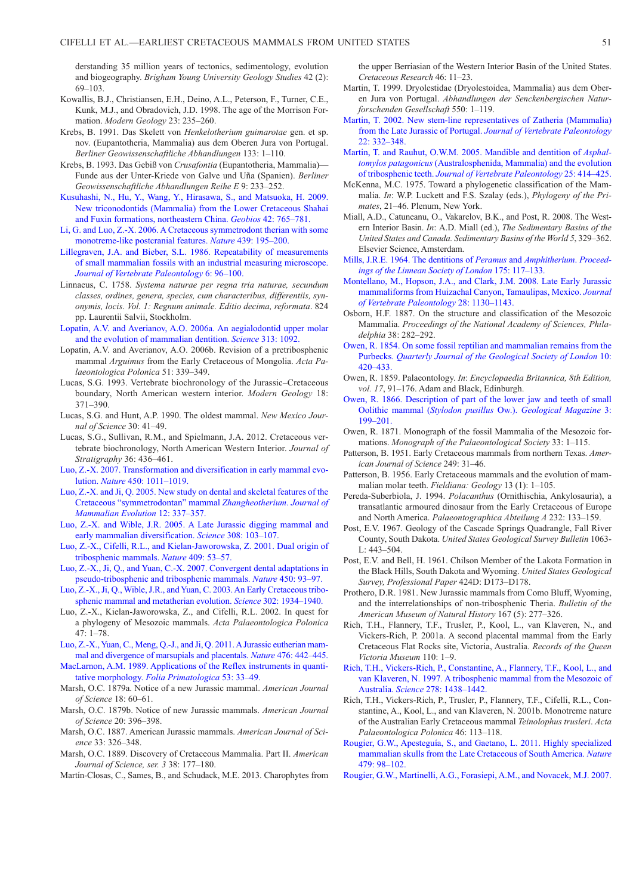derstanding 35 million years of tectonics, sedimentology, evolution and biogeography. *Brigham Young University Geology Studies* 42 (2): 69–103.

- Kowallis, B.J., Christiansen, E.H., Deino, A.L., Peterson, F., Turner, C.E., Kunk, M.J., and Obradovich, J.D. 1998. The age of the Morrison Formation. *Modern Geology* 23: 235–260.
- Krebs, B. 1991. Das Skelett von *Henkelotherium guimarotae* gen. et sp. nov. (Eupantotheria, Mammalia) aus dem Oberen Jura von Portugal. *Berliner Geowissenschaftliche Abhandlungen* 133: 1–110.
- Krebs, B. 1993. Das Gebiß von *Crusafontia* (Eupantotheria, Mammalia)— Funde aus der Unter-Kriede von Galve und Uña (Spanien). *Berliner Geo wissenschaftliche Abhandlungen Reihe E* 9: 233–252.
- [Kusuhashi, N., Hu, Y., Wang, Y., Hirasawa, S., and Matsuoka, H. 2009.](http://dx.doi.org/10.1016%2Fj.geobios.2009.06.003)  New triconodontids (Mammalia) from the Lower Cretaceous Shahai and Fuxin formations, northeastern China. *Geobios* 42: 765–781.
- [Li, G. and Luo, Z.-X. 2006. A Cretaceous symmetrodont therian with some](http://dx.doi.org/10.1038%2Fnature04168)  monotreme-like postcranial features. *Nature* 439: 195–200.
- [Lillegraven, J.A. and Bieber, S.L. 1986. Repeatability of measurements](http://dx.doi.org/10.1080%2F02724634.1986.10011601)  of small mammalian fossils with an industrial measuring microscope. *Journal of Vertebrate Paleontology* 6: 96–100.
- Linnaeus, C. 1758. *Systema naturae per regna tria naturae, secundum classes, ordines, genera, species, cum characteribus, differentiis, synonymis, locis. Vol. 1: Regnum animale. Editio decima, reformata*. 824 pp. Laurentii Salvii, Stockholm.
- [Lopatin, A.V. and Averianov, A.O. 2006a. An aegialodontid upper molar](http://dx.doi.org/10.1126%2Fscience.1128530)  and the evolution of mammalian dentition. *Science* 313: 1092.
- Lopatin, A.V. and Averianov, A.O. 2006b. Revision of a pretribosphenic mammal *Arguimus* from the Early Cretaceous of Mongolia. *Acta Palaeontologica Polonica* 51: 339–349.
- Lucas, S.G. 1993. Vertebrate biochronology of the Jurassic–Cretaceous boundary, North American western interior. *Modern Geology* 18: 371–390.
- Lucas, S.G. and Hunt, A.P. 1990. The oldest mammal. *New Mexico Journal of Science* 30: 41–49.
- Lucas, S.G., Sullivan, R.M., and Spielmann, J.A. 2012. Cretaceous vertebrate biochronology, North American Western Interior. *Journal of Stratigraphy* 36: 436–461.
- [Luo, Z.-X. 2007. Transformation and diversification in early mammal evo](http://dx.doi.org/10.1038%2Fnature06277)lution. *Nature* 450: 1011–1019.
- [Luo, Z.-X. and Ji, Q. 2005. New study on dental and skeletal features of the](http://dx.doi.org/10.1007%2Fs10914-005-6958-x)  Cretaceous "symmetrodontan" mammal *Zhangheotherium*. *Journal of Mammalian Evolution* 12: 337–357.
- [Luo, Z.-X. and Wible, J.R. 2005. A Late Jurassic digging mammal and](http://dx.doi.org/10.1126%2Fscience.1108875)  early mammalian diversification. *Science* 308: 103–107.
- [Luo, Z.-X., Cifelli, R.L., and Kielan-Jaworowska, Z. 2001. Dual origin of](http://dx.doi.org/10.1038%2F35051023)  tribosphenic mammals. *Nature* 409: 53–57.
- [Luo, Z.-X., Ji, Q., and Yuan, C.-X. 2007. Convergent dental adaptations in](http://dx.doi.org/10.1038%2Fnature06221)  pseudo-tribosphenic and tribosphenic mammals. *Nature* 450: 93–97.
- [Luo, Z.-X., Ji, Q., Wible, J.R., and Yuan, C. 2003. An Early Cretaceous tribo](http://dx.doi.org/10.1126%2Fscience.1090718)sphenic mammal and metatherian evolution. *Science* 302: 1934–1940.
- Luo, Z.-X., Kielan-Jaworowska, Z., and Cifelli, R.L. 2002. In quest for a phylogeny of Mesozoic mammals. *Acta Palaeontologica Polonica*  $47 \cdot 1 - 78$
- [Luo, Z.-X., Yuan, C., Meng, Q.-J., and Ji, Q. 2011. A Jurassic eutherian mam](http://dx.doi.org/10.1038%2Fnature10291)mal and divergence of marsupials and placentals. *Nature* 476: 442–445.
- [MacLarnon, A.M. 1989. Applications of the Reflex instruments in quanti](http://dx.doi.org/10.1159%2F000156407)tative morphology. *Folia Primatologica* 53: 33–49.
- Marsh, O.C. 1879a. Notice of a new Jurassic mammal. *American Journal of Science* 18: 60–61.
- Marsh, O.C. 1879b. Notice of new Jurassic mammals. *American Journal of Science* 20: 396–398.
- Marsh, O.C. 1887. American Jurassic mammals. *American Journal of Science* 33: 326–348.
- Marsh, O.C. 1889. Discovery of Cretaceous Mammalia. Part II. *American Journal of Science, ser. 3* 38: 177–180.
- Martín-Closas, C., Sames, B., and Schudack, M.E. 2013. Charophytes from

the upper Berriasian of the Western Interior Basin of the United States. *Cretaceous Research* 46: 11–23.

- Martin, T. 1999. Dryolestidae (Dryolestoidea, Mammalia) aus dem Oberen Jura von Portugal. *Abhandlungen der Senckenbergischen Naturforschenden Gesellschaft* 550: 1–119.
- [Martin, T. 2002. New stem-line representatives of Zatheria \(Mammalia\)](http://dx.doi.org/10.1671%2F0272-4634%282002%29022%5B0332%3ANSLROZ%5D2.0.CO%3B2) from the Late Jurassic of Portugal. *Journal of Vertebrate Paleontology* 22: 332–348.
- [Martin, T. and Rauhut, O.W.M. 2005. Mandible and dentition of](http://dx.doi.org/10.1671%2F0272-4634%282005%29025%5B0414%3AMADOAP%5D2.0.CO%3B2) *Asphaltomylos patagonicus* (Australosphenida, Mammalia) and the evolution of tribosphenic teeth. *Journal of Vertebrate Paleontology* 25: 414–425.
- McKenna, M.C. 1975. Toward a phylogenetic classification of the Mammalia. *In*: W.P. Luckett and F.S. Szalay (eds.), *Phylogeny of the Primates*, 21–46. Plenum, New York.
- Miall, A.D., Catuneanu, O., Vakarelov, B.K., and Post, R. 2008. The Western Interior Basin. *In*: A.D. Miall (ed.), *The Sedimentary Basins of the United States and Canada. Sedimentary Basins of the World 5*, 329–362. Elsevier Science, Amsterdam.
- Mills, J.R.E. 1964. The dentitions of *Peramus* and *Amphitherium*. *Proceed[ings of the Linnean Society of London](http://dx.doi.org/10.1111%2Fj.1095-8312.1964.tb00925.x)* 175: 117–133.
- [Montellano, M., Hopson, J.A., and Clark, J.M. 2008. Late Early Jurassic](http://dx.doi.org/10.1671%2F0272-4634-28.4.1130) mammaliforms from Huizachal Canyon, Tamaulipas, Mexico. *Journal of Vertebrate Paleontology* 28: 1130–1143.
- Osborn, H.F. 1887. On the structure and classification of the Mesozoic Mammalia. *Proceedings of the National Academy of Sciences, Philadelphia* 38: 282–292.
- [Owen, R. 1854. On some fossil reptilian and mammalian remains from the](http://dx.doi.org/10.1144%2FGSL.JGS.1854.010.01-02.48) Purbecks. *Quarterly Journal of the Geological Society of London* 10: 420–433.
- Owen, R. 1859. Palaeontology. *In*: *Encyclopaedia Britannica, 8th Edition, vol. 17*, 91–176. Adam and Black, Edinburgh.
- [Owen, R. 1866. Description of part of the lower jaw and teeth of small](http://dx.doi.org/10.1017%2FS0016756800197973) Oolithic mammal (*Stylodon pusillus* Ow.). *Geological Magazine* 3: 199–201.
- Owen, R. 1871. Monograph of the fossil Mammalia of the Mesozoic formations. *Monograph of the Palaeontological Society* 33: 1–115.
- [Patterson, B. 1951. Early Cretaceous mammals from northern Texas.](http://dx.doi.org/10.2475%2Fajs.249.1.31) *American Journal of Science* 249: 31–46.
- Patterson, B. 1956. Early Cretaceous mammals and the evolution of mammalian molar teeth. *Fieldiana: Geology* 13 (1): 1–105.
- Pereda-Suberbiola, J. 1994. *Polacanthus* (Ornithischia, Ankylosauria), a transatlantic armoured dinosaur from the Early Cretaceous of Europe and North America. *Palaeontographica Abteilung A* 232: 133–159.
- Post, E.V. 1967. Geology of the Cascade Springs Quadrangle, Fall River County, South Dakota. *United States Geological Survey Bulletin* 1063-  $L: 443 - 504.$
- Post, E.V. and Bell, H. 1961. Chilson Member of the Lakota Formation in the Black Hills, South Dakota and Wyoming. *United States Geological Survey, Professional Paper* 424D: D173–D178.
- Prothero, D.R. 1981. New Jurassic mammals from Como Bluff, Wyoming, and the interrelationships of non-tribosphenic Theria. *Bulletin of the American Museum of Natural History* 167 (5): 277–326.
- Rich, T.H., Flannery, T.F., Trusler, P., Kool, L., van Klaveren, N., and Vickers-Rich, P. 2001a. A second placental mammal from the Early Cretaceous Flat Rocks site, Victoria, Australia. *Records of the Queen Victoria Museum* 110: 1–9.
- [Rich, T.H., Vickers-Rich, P., Constantine, A., Flannery, T.F., Kool, L., and](http://dx.doi.org/10.1126%2Fscience.278.5342.1438) van Klaveren, N. 1997. A tribosphenic mammal from the Mesozoic of Australia. *Science* 278: 1438–1442.
- Rich, T.H., Vickers-Rich, P., Trusler, P., Flannery, T.F., Cifelli, R.L., Constantine, A., Kool, L., and van Klaveren, N. 2001b. Monotreme nature of the Australian Early Cretaceous mammal *Teinolophus trusleri*. *Acta Palaeontologica Polonica* 46: 113–118.
- [Rougier, G.W., Apesteguía, S., and Gaetano, L. 2011. Highly specialized](http://dx.doi.org/10.1038%2Fnature10591) mammalian skulls from the Late Cretaceous of South America. *Nature*  $479.98 - 102$
- [Rougier, G.W., Martinelli, A.G., Forasiepi, A.M., and Novacek, M.J. 2007.](http://dx.doi.org/10.1206%2F0003-0082%282007%29507%5B1%3ANJMFPA%5D2.0.CO%3B2)